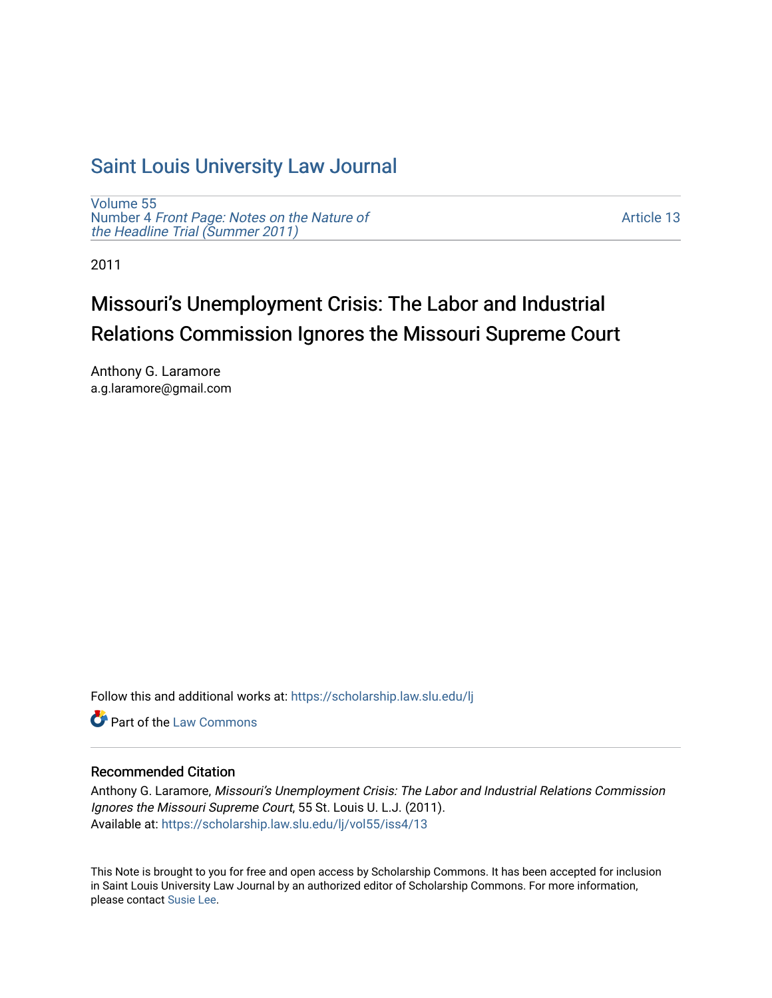## [Saint Louis University Law Journal](https://scholarship.law.slu.edu/lj)

[Volume 55](https://scholarship.law.slu.edu/lj/vol55) Number 4 [Front Page: Notes on the Nature of](https://scholarship.law.slu.edu/lj/vol55/iss4) [the Headline Trial \(Summer 2011\)](https://scholarship.law.slu.edu/lj/vol55/iss4)

[Article 13](https://scholarship.law.slu.edu/lj/vol55/iss4/13) 

2011

# Missouri's Unemployment Crisis: The Labor and Industrial Relations Commission Ignores the Missouri Supreme Court

Anthony G. Laramore a.g.laramore@gmail.com

Follow this and additional works at: [https://scholarship.law.slu.edu/lj](https://scholarship.law.slu.edu/lj?utm_source=scholarship.law.slu.edu%2Flj%2Fvol55%2Fiss4%2F13&utm_medium=PDF&utm_campaign=PDFCoverPages) 

**C** Part of the [Law Commons](http://network.bepress.com/hgg/discipline/578?utm_source=scholarship.law.slu.edu%2Flj%2Fvol55%2Fiss4%2F13&utm_medium=PDF&utm_campaign=PDFCoverPages)

## Recommended Citation

Anthony G. Laramore, Missouri's Unemployment Crisis: The Labor and Industrial Relations Commission Ignores the Missouri Supreme Court, 55 St. Louis U. L.J. (2011). Available at: [https://scholarship.law.slu.edu/lj/vol55/iss4/13](https://scholarship.law.slu.edu/lj/vol55/iss4/13?utm_source=scholarship.law.slu.edu%2Flj%2Fvol55%2Fiss4%2F13&utm_medium=PDF&utm_campaign=PDFCoverPages)

This Note is brought to you for free and open access by Scholarship Commons. It has been accepted for inclusion in Saint Louis University Law Journal by an authorized editor of Scholarship Commons. For more information, please contact [Susie Lee.](mailto:susie.lee@slu.edu)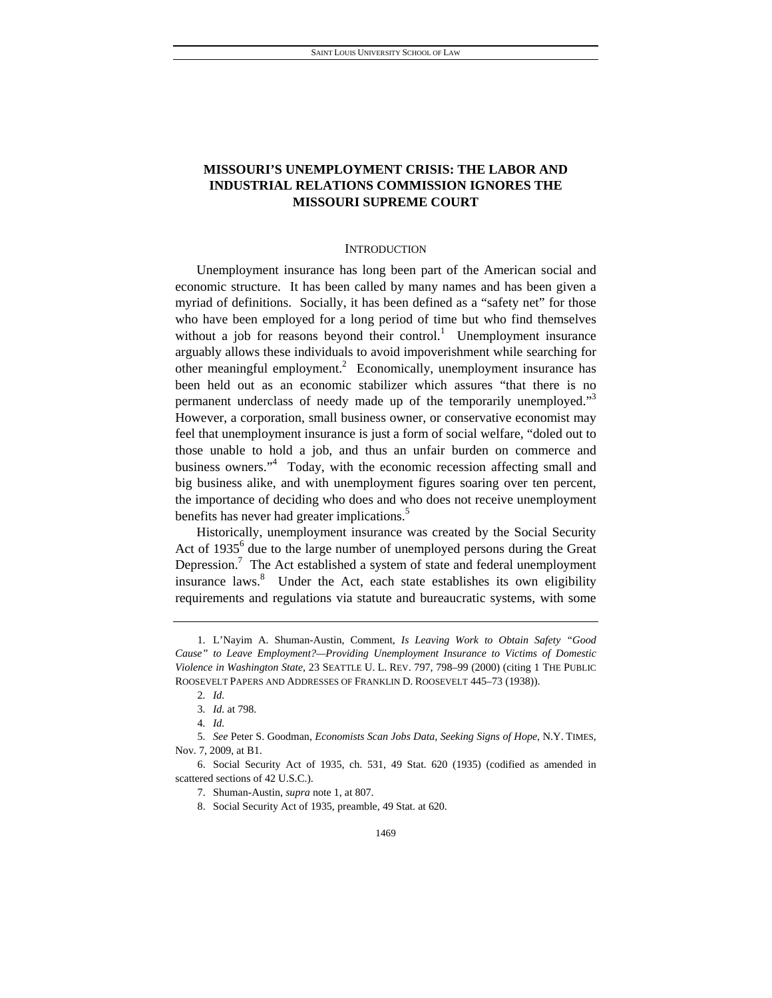## **MISSOURI'S UNEMPLOYMENT CRISIS: THE LABOR AND INDUSTRIAL RELATIONS COMMISSION IGNORES THE MISSOURI SUPREME COURT**

#### **INTRODUCTION**

Unemployment insurance has long been part of the American social and economic structure. It has been called by many names and has been given a myriad of definitions. Socially, it has been defined as a "safety net" for those who have been employed for a long period of time but who find themselves without a job for reasons beyond their control.<sup>1</sup> Unemployment insurance arguably allows these individuals to avoid impoverishment while searching for other meaningful employment.<sup>2</sup> Economically, unemployment insurance has been held out as an economic stabilizer which assures "that there is no permanent underclass of needy made up of the temporarily unemployed."<sup>3</sup> However, a corporation, small business owner, or conservative economist may feel that unemployment insurance is just a form of social welfare, "doled out to those unable to hold a job, and thus an unfair burden on commerce and business owners."<sup>4</sup> Today, with the economic recession affecting small and big business alike, and with unemployment figures soaring over ten percent, the importance of deciding who does and who does not receive unemployment benefits has never had greater implications.<sup>5</sup>

Historically, unemployment insurance was created by the Social Security Act of  $1935<sup>6</sup>$  due to the large number of unemployed persons during the Great Depression.<sup>7</sup> The Act established a system of state and federal unemployment insurance laws.<sup>8</sup> Under the Act, each state establishes its own eligibility requirements and regulations via statute and bureaucratic systems, with some

 <sup>1.</sup> L'Nayim A. Shuman-Austin, Comment, *Is Leaving Work to Obtain Safety "Good Cause" to Leave Employment?—Providing Unemployment Insurance to Victims of Domestic Violence in Washington State*, 23 SEATTLE U. L. REV. 797, 798–99 (2000) (citing 1 THE PUBLIC ROOSEVELT PAPERS AND ADDRESSES OF FRANKLIN D. ROOSEVELT 445–73 (1938)).

<sup>2</sup>*. Id.*

<sup>3</sup>*. Id.* at 798.

<sup>4</sup>*. Id.*

<sup>5</sup>*. See* Peter S. Goodman, *Economists Scan Jobs Data, Seeking Signs of Hope*, N.Y. TIMES, Nov. 7, 2009, at B1.

 <sup>6.</sup> Social Security Act of 1935, ch. 531, 49 Stat. 620 (1935) (codified as amended in scattered sections of 42 U.S.C.).

 <sup>7.</sup> Shuman-Austin, *supra* note 1, at 807.

 <sup>8.</sup> Social Security Act of 1935, preamble, 49 Stat. at 620.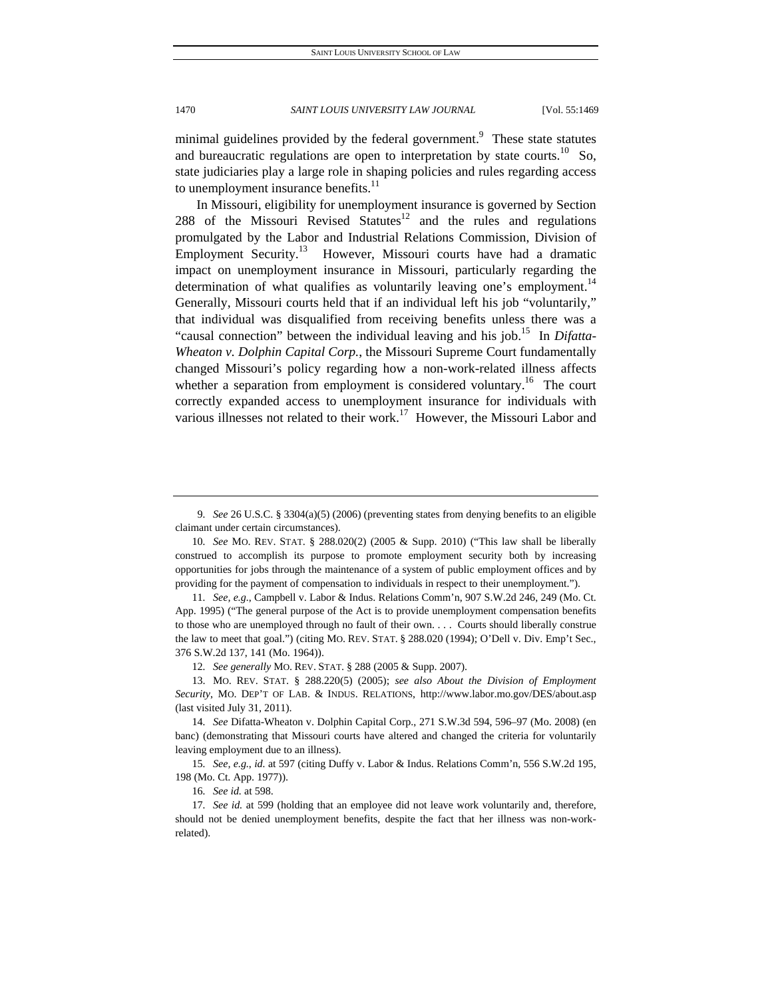minimal guidelines provided by the federal government.<sup>9</sup> These state statutes and bureaucratic regulations are open to interpretation by state courts.<sup>10</sup> So, state judiciaries play a large role in shaping policies and rules regarding access to unemployment insurance benefits. $^{11}$ 

In Missouri, eligibility for unemployment insurance is governed by Section 288 of the Missouri Revised Statutes<sup>12</sup> and the rules and regulations promulgated by the Labor and Industrial Relations Commission, Division of Employment Security.<sup>13</sup> However, Missouri courts have had a dramatic impact on unemployment insurance in Missouri, particularly regarding the determination of what qualifies as voluntarily leaving one's employment.<sup>14</sup> Generally, Missouri courts held that if an individual left his job "voluntarily," that individual was disqualified from receiving benefits unless there was a "causal connection" between the individual leaving and his job.<sup>15</sup> In *Difatta*-*Wheaton v. Dolphin Capital Corp.*, the Missouri Supreme Court fundamentally changed Missouri's policy regarding how a non-work-related illness affects whether a separation from employment is considered voluntary.<sup>16</sup> The court correctly expanded access to unemployment insurance for individuals with various illnesses not related to their work.<sup>17</sup> However, the Missouri Labor and

16*. See id.* at 598.

<sup>9</sup>*. See* 26 U.S.C. § 3304(a)(5) (2006) (preventing states from denying benefits to an eligible claimant under certain circumstances).

<sup>10</sup>*. See* MO. REV. STAT. § 288.020(2) (2005 & Supp. 2010) ("This law shall be liberally construed to accomplish its purpose to promote employment security both by increasing opportunities for jobs through the maintenance of a system of public employment offices and by providing for the payment of compensation to individuals in respect to their unemployment.").

<sup>11</sup>*. See, e.g.*, Campbell v. Labor & Indus. Relations Comm'n, 907 S.W.2d 246, 249 (Mo. Ct. App. 1995) ("The general purpose of the Act is to provide unemployment compensation benefits to those who are unemployed through no fault of their own. . . . Courts should liberally construe the law to meet that goal.") (citing MO. REV. STAT. § 288.020 (1994); O'Dell v. Div. Emp't Sec., 376 S.W.2d 137, 141 (Mo. 1964)).

<sup>12</sup>*. See generally* MO. REV. STAT. § 288 (2005 & Supp. 2007).

 <sup>13.</sup> MO. REV. STAT. § 288.220(5) (2005); *see also About the Division of Employment Security*, MO. DEP'T OF LAB. & INDUS. RELATIONS, http://www.labor.mo.gov/DES/about.asp (last visited July 31, 2011).

<sup>14</sup>*. See* Difatta-Wheaton v. Dolphin Capital Corp., 271 S.W.3d 594, 596–97 (Mo. 2008) (en banc) (demonstrating that Missouri courts have altered and changed the criteria for voluntarily leaving employment due to an illness).

<sup>15</sup>*. See, e.g.*, *id.* at 597 (citing Duffy v. Labor & Indus. Relations Comm'n, 556 S.W.2d 195, 198 (Mo. Ct. App. 1977)).

<sup>17</sup>*. See id.* at 599 (holding that an employee did not leave work voluntarily and, therefore, should not be denied unemployment benefits, despite the fact that her illness was non-workrelated).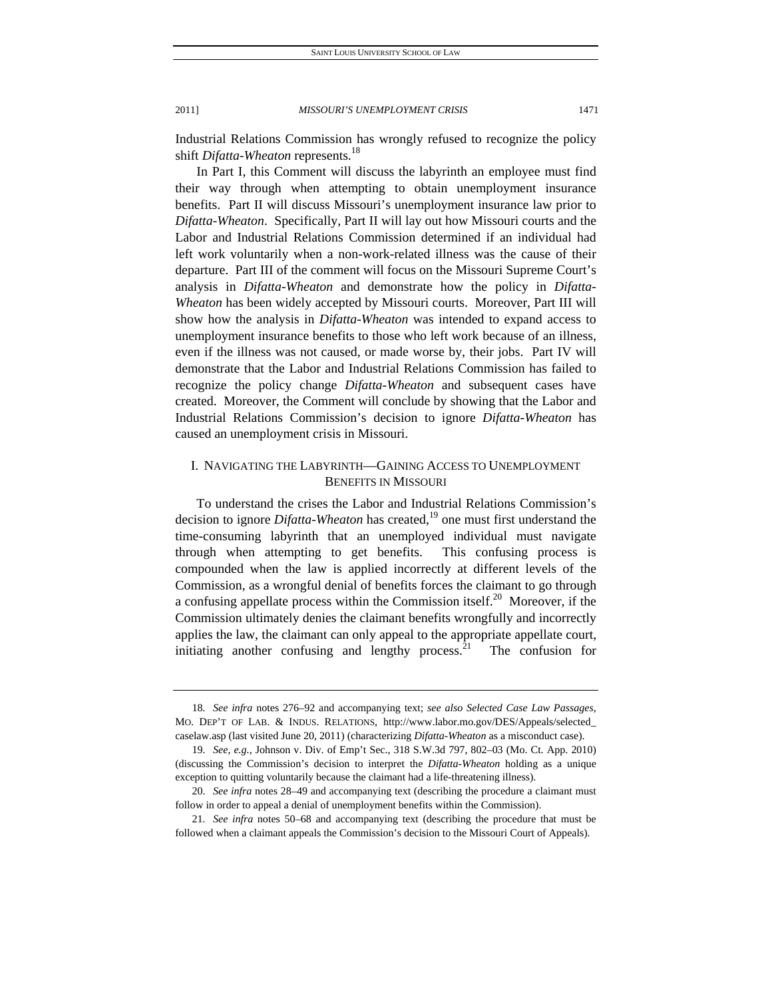Industrial Relations Commission has wrongly refused to recognize the policy shift *Difatta-Wheaton* represents.<sup>18</sup>

In Part I, this Comment will discuss the labyrinth an employee must find their way through when attempting to obtain unemployment insurance benefits. Part II will discuss Missouri's unemployment insurance law prior to *Difatta-Wheaton*. Specifically, Part II will lay out how Missouri courts and the Labor and Industrial Relations Commission determined if an individual had left work voluntarily when a non-work-related illness was the cause of their departure. Part III of the comment will focus on the Missouri Supreme Court's analysis in *Difatta-Wheaton* and demonstrate how the policy in *Difatta-Wheaton* has been widely accepted by Missouri courts. Moreover, Part III will show how the analysis in *Difatta-Wheaton* was intended to expand access to unemployment insurance benefits to those who left work because of an illness, even if the illness was not caused, or made worse by, their jobs. Part IV will demonstrate that the Labor and Industrial Relations Commission has failed to recognize the policy change *Difatta-Wheaton* and subsequent cases have created. Moreover, the Comment will conclude by showing that the Labor and Industrial Relations Commission's decision to ignore *Difatta-Wheaton* has caused an unemployment crisis in Missouri.

## I. NAVIGATING THE LABYRINTH—GAINING ACCESS TO UNEMPLOYMENT BENEFITS IN MISSOURI

To understand the crises the Labor and Industrial Relations Commission's decision to ignore *Difatta-Wheaton* has created,<sup>19</sup> one must first understand the time-consuming labyrinth that an unemployed individual must navigate through when attempting to get benefits. This confusing process is compounded when the law is applied incorrectly at different levels of the Commission, as a wrongful denial of benefits forces the claimant to go through a confusing appellate process within the Commission itself.<sup>20</sup> Moreover, if the Commission ultimately denies the claimant benefits wrongfully and incorrectly applies the law, the claimant can only appeal to the appropriate appellate court, initiating another confusing and lengthy process.<sup>21</sup> The confusion for

<sup>18</sup>*. See infra* notes 276–92 and accompanying text; *see also Selected Case Law Passages*, MO. DEP'T OF LAB. & INDUS. RELATIONS, http://www.labor.mo.gov/DES/Appeals/selected\_ caselaw.asp (last visited June 20, 2011) (characterizing *Difatta-Wheaton* as a misconduct case).

<sup>19</sup>*. See, e.g.*, Johnson v. Div. of Emp't Sec., 318 S.W.3d 797, 802–03 (Mo. Ct. App. 2010) (discussing the Commission's decision to interpret the *Difatta-Wheaton* holding as a unique exception to quitting voluntarily because the claimant had a life-threatening illness).

<sup>20</sup>*. See infra* notes 28–49 and accompanying text (describing the procedure a claimant must follow in order to appeal a denial of unemployment benefits within the Commission).

<sup>21</sup>*. See infra* notes 50–68 and accompanying text (describing the procedure that must be followed when a claimant appeals the Commission's decision to the Missouri Court of Appeals).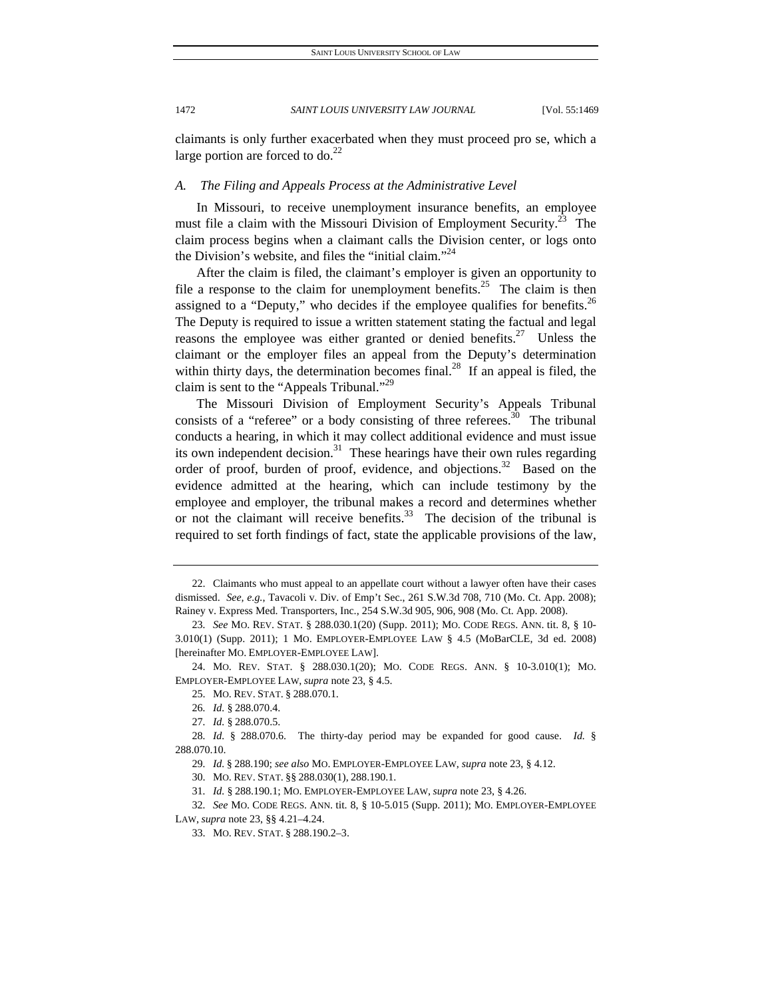claimants is only further exacerbated when they must proceed pro se, which a large portion are forced to  $do.<sup>22</sup>$ 

### *A. The Filing and Appeals Process at the Administrative Level*

In Missouri, to receive unemployment insurance benefits, an employee must file a claim with the Missouri Division of Employment Security.<sup>23</sup> The claim process begins when a claimant calls the Division center, or logs onto the Division's website, and files the "initial claim."<sup>24</sup>

After the claim is filed, the claimant's employer is given an opportunity to file a response to the claim for unemployment benefits.<sup>25</sup> The claim is then assigned to a "Deputy," who decides if the employee qualifies for benefits.<sup>26</sup> The Deputy is required to issue a written statement stating the factual and legal reasons the employee was either granted or denied benefits.<sup>27</sup> Unless the claimant or the employer files an appeal from the Deputy's determination within thirty days, the determination becomes final.<sup>28</sup> If an appeal is filed, the claim is sent to the "Appeals Tribunal."<sup>29</sup>

The Missouri Division of Employment Security's Appeals Tribunal consists of a "referee" or a body consisting of three referees.<sup>30</sup> The tribunal conducts a hearing, in which it may collect additional evidence and must issue its own independent decision. $31$  These hearings have their own rules regarding order of proof, burden of proof, evidence, and objections.<sup>32</sup> Based on the evidence admitted at the hearing, which can include testimony by the employee and employer, the tribunal makes a record and determines whether or not the claimant will receive benefits.<sup>33</sup> The decision of the tribunal is required to set forth findings of fact, state the applicable provisions of the law,

32*. See* MO. CODE REGS. ANN. tit. 8, § 10-5.015 (Supp. 2011); MO. EMPLOYER-EMPLOYEE LAW, *supra* note 23, §§ 4.21–4.24.

 <sup>22.</sup> Claimants who must appeal to an appellate court without a lawyer often have their cases dismissed. *See, e.g.*, Tavacoli v. Div. of Emp't Sec., 261 S.W.3d 708, 710 (Mo. Ct. App. 2008); Rainey v. Express Med. Transporters, Inc., 254 S.W.3d 905, 906, 908 (Mo. Ct. App. 2008).

<sup>23</sup>*. See* MO. REV. STAT. § 288.030.1(20) (Supp. 2011); MO. CODE REGS. ANN. tit. 8, § 10- 3.010(1) (Supp. 2011); 1 MO. EMPLOYER-EMPLOYEE LAW § 4.5 (MoBarCLE, 3d ed. 2008) [hereinafter MO. EMPLOYER-EMPLOYEE LAW].

 <sup>24.</sup> MO. REV. STAT. § 288.030.1(20); MO. CODE REGS. ANN. § 10-3.010(1); MO. EMPLOYER-EMPLOYEE LAW, *supra* note 23, § 4.5.

 <sup>25.</sup> MO. REV. STAT. § 288.070.1.

<sup>26</sup>*. Id.* § 288.070.4.

<sup>27</sup>*. Id.* § 288.070.5.

<sup>28</sup>*. Id.* § 288.070.6. The thirty-day period may be expanded for good cause. *Id.* § 288.070.10.

<sup>29</sup>*. Id.* § 288.190; *see also* MO. EMPLOYER-EMPLOYEE LAW, *supra* note 23, § 4.12.

 <sup>30.</sup> MO. REV. STAT. §§ 288.030(1), 288.190.1.

<sup>31</sup>*. Id.* § 288.190.1; MO. EMPLOYER-EMPLOYEE LAW, *supra* note 23, § 4.26.

 <sup>33.</sup> MO. REV. STAT. § 288.190.2–3.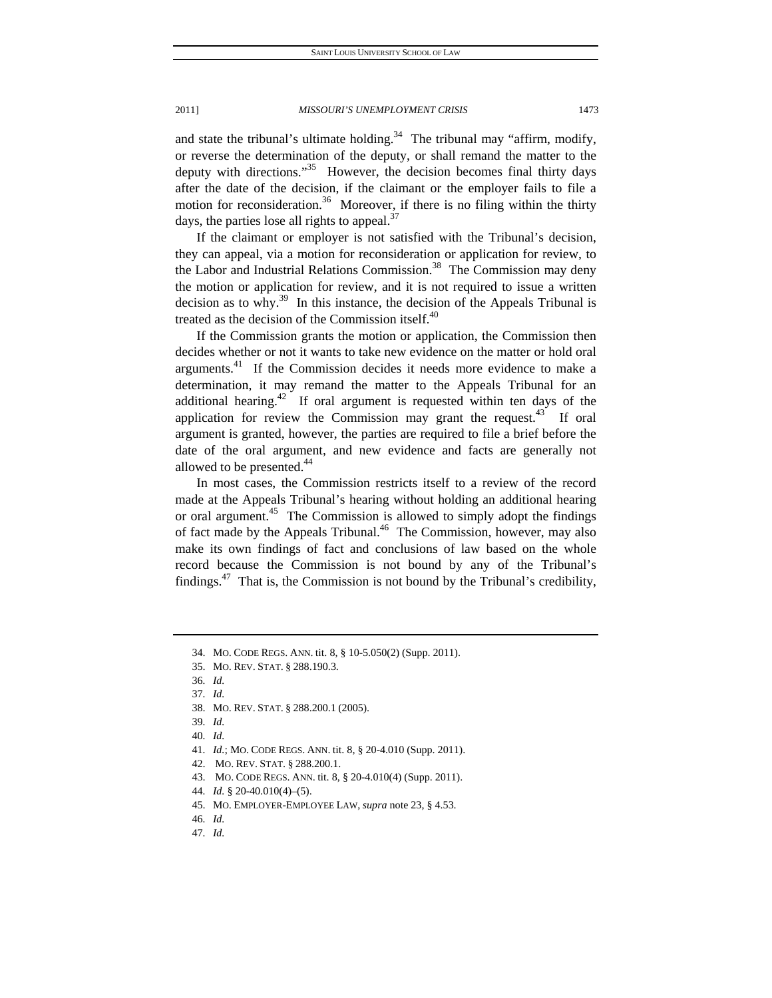and state the tribunal's ultimate holding.<sup>34</sup> The tribunal may "affirm, modify, or reverse the determination of the deputy, or shall remand the matter to the deputy with directions."<sup>35</sup> However, the decision becomes final thirty days after the date of the decision, if the claimant or the employer fails to file a motion for reconsideration.<sup>36</sup> Moreover, if there is no filing within the thirty days, the parties lose all rights to appeal. $37$ 

If the claimant or employer is not satisfied with the Tribunal's decision, they can appeal, via a motion for reconsideration or application for review, to the Labor and Industrial Relations Commission.<sup>38</sup> The Commission may deny the motion or application for review, and it is not required to issue a written decision as to why.<sup>39</sup> In this instance, the decision of the Appeals Tribunal is treated as the decision of the Commission itself.<sup>40</sup>

If the Commission grants the motion or application, the Commission then decides whether or not it wants to take new evidence on the matter or hold oral arguments.<sup>41</sup> If the Commission decides it needs more evidence to make a determination, it may remand the matter to the Appeals Tribunal for an additional hearing.<sup>42</sup> If oral argument is requested within ten days of the application for review the Commission may grant the request.<sup>43</sup> If oral argument is granted, however, the parties are required to file a brief before the date of the oral argument, and new evidence and facts are generally not allowed to be presented.<sup>44</sup>

In most cases, the Commission restricts itself to a review of the record made at the Appeals Tribunal's hearing without holding an additional hearing or oral argument.<sup>45</sup> The Commission is allowed to simply adopt the findings of fact made by the Appeals Tribunal.<sup>46</sup> The Commission, however, may also make its own findings of fact and conclusions of law based on the whole record because the Commission is not bound by any of the Tribunal's findings.<sup>47</sup> That is, the Commission is not bound by the Tribunal's credibility,

 <sup>34.</sup> MO. CODE REGS. ANN. tit. 8, § 10-5.050(2) (Supp. 2011).

 <sup>35.</sup> MO. REV. STAT. § 288.190.3.

<sup>36</sup>*. Id.*

<sup>37</sup>*. Id.*

 <sup>38.</sup> MO. REV. STAT. § 288.200.1 (2005).

<sup>39</sup>*. Id.*

<sup>40</sup>*. Id.*

<sup>41</sup>*. Id.*; MO. CODE REGS. ANN. tit. 8, § 20-4.010 (Supp. 2011).

 <sup>42.</sup> MO. REV. STAT. § 288.200.1.

 <sup>43.</sup> MO. CODE REGS. ANN. tit. 8, § 20-4.010(4) (Supp. 2011).

<sup>44</sup>*. Id.* § 20-40.010(4)–(5).

 <sup>45.</sup> MO. EMPLOYER-EMPLOYEE LAW, *supra* note 23, § 4.53.

<sup>46</sup>*. Id.*

<sup>47</sup>*. Id.*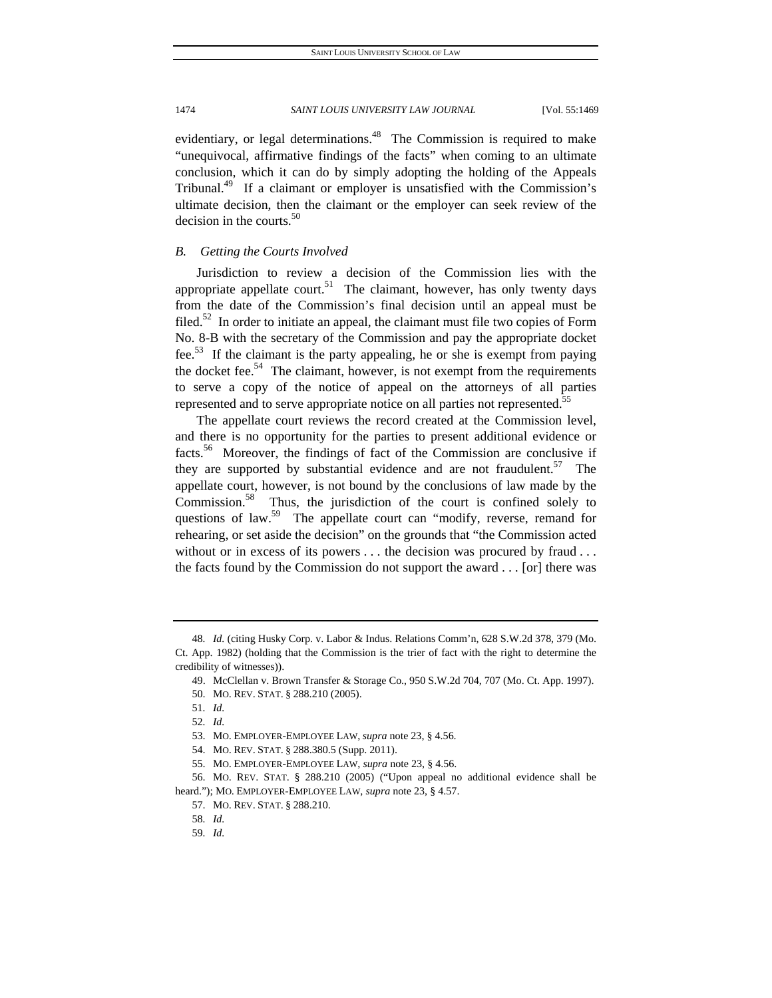evidentiary, or legal determinations.<sup>48</sup> The Commission is required to make "unequivocal, affirmative findings of the facts" when coming to an ultimate conclusion, which it can do by simply adopting the holding of the Appeals Tribunal.<sup>49</sup> If a claimant or employer is unsatisfied with the Commission's ultimate decision, then the claimant or the employer can seek review of the decision in the courts. $50$ 

#### *B. Getting the Courts Involved*

Jurisdiction to review a decision of the Commission lies with the appropriate appellate court.<sup>51</sup> The claimant, however, has only twenty days from the date of the Commission's final decision until an appeal must be filed.<sup>52</sup> In order to initiate an appeal, the claimant must file two copies of Form No. 8-B with the secretary of the Commission and pay the appropriate docket fee.53 If the claimant is the party appealing, he or she is exempt from paying the docket fee.<sup>54</sup> The claimant, however, is not exempt from the requirements to serve a copy of the notice of appeal on the attorneys of all parties represented and to serve appropriate notice on all parties not represented.<sup>55</sup>

The appellate court reviews the record created at the Commission level, and there is no opportunity for the parties to present additional evidence or facts.56 Moreover, the findings of fact of the Commission are conclusive if they are supported by substantial evidence and are not fraudulent.<sup>57</sup> The appellate court, however, is not bound by the conclusions of law made by the Commission. $58$  Thus, the jurisdiction of the court is confined solely to questions of law.<sup>59</sup> The appellate court can "modify, reverse, remand for rehearing, or set aside the decision" on the grounds that "the Commission acted without or in excess of its powers . . . the decision was procured by fraud . . . the facts found by the Commission do not support the award . . . [or] there was

<sup>48</sup>*. Id.* (citing Husky Corp. v. Labor & Indus. Relations Comm'n, 628 S.W.2d 378, 379 (Mo. Ct. App. 1982) (holding that the Commission is the trier of fact with the right to determine the credibility of witnesses)).

 <sup>49.</sup> McClellan v. Brown Transfer & Storage Co., 950 S.W.2d 704, 707 (Mo. Ct. App. 1997).

 <sup>50.</sup> MO. REV. STAT. § 288.210 (2005).

<sup>51</sup>*. Id.*

<sup>52</sup>*. Id.*

 <sup>53.</sup> MO. EMPLOYER-EMPLOYEE LAW, *supra* note 23, § 4.56.

 <sup>54.</sup> MO. REV. STAT. § 288.380.5 (Supp. 2011).

 <sup>55.</sup> MO. EMPLOYER-EMPLOYEE LAW, *supra* note 23, § 4.56.

 <sup>56.</sup> MO. REV. STAT. § 288.210 (2005) ("Upon appeal no additional evidence shall be heard."); MO. EMPLOYER-EMPLOYEE LAW, *supra* note 23, § 4.57.

 <sup>57.</sup> MO. REV. STAT. § 288.210.

<sup>58</sup>*. Id.*

<sup>59</sup>*. Id.*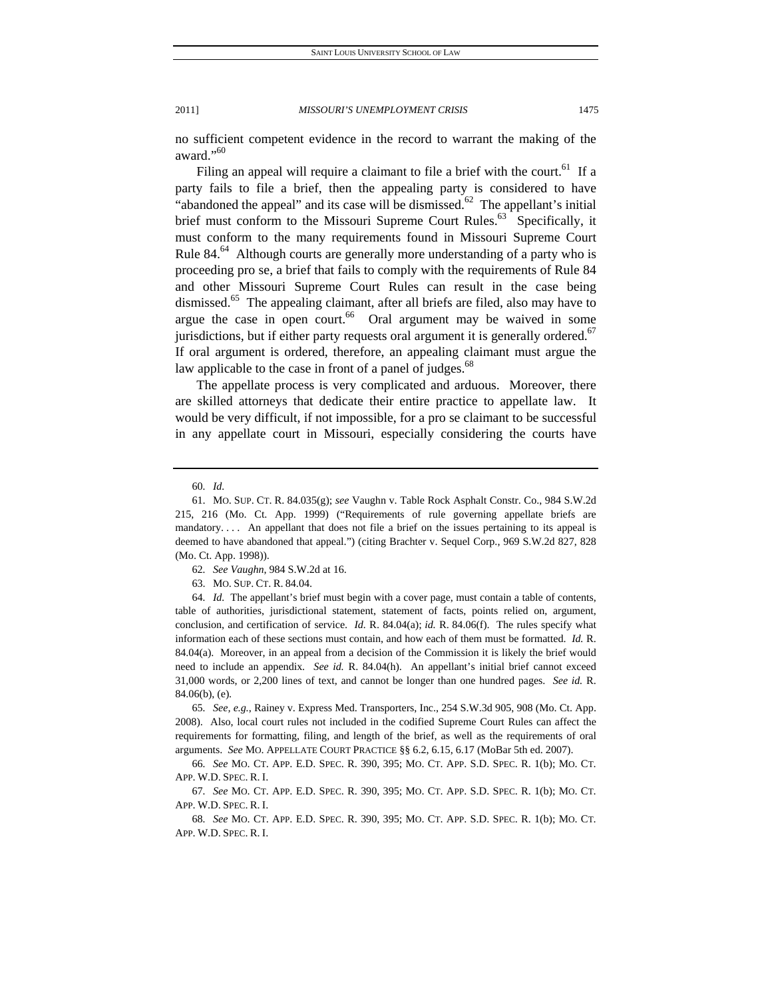no sufficient competent evidence in the record to warrant the making of the award."60

Filing an appeal will require a claimant to file a brief with the court.<sup>61</sup> If a party fails to file a brief, then the appealing party is considered to have "abandoned the appeal" and its case will be dismissed.<sup>62</sup> The appellant's initial brief must conform to the Missouri Supreme Court Rules.<sup>63</sup> Specifically, it must conform to the many requirements found in Missouri Supreme Court Rule  $84.64$  Although courts are generally more understanding of a party who is proceeding pro se, a brief that fails to comply with the requirements of Rule 84 and other Missouri Supreme Court Rules can result in the case being dismissed.<sup>65</sup> The appealing claimant, after all briefs are filed, also may have to argue the case in open court.<sup>66</sup> Oral argument may be waived in some jurisdictions, but if either party requests oral argument it is generally ordered.<sup>67</sup> If oral argument is ordered, therefore, an appealing claimant must argue the law applicable to the case in front of a panel of judges.<sup>68</sup>

The appellate process is very complicated and arduous. Moreover, there are skilled attorneys that dedicate their entire practice to appellate law. It would be very difficult, if not impossible, for a pro se claimant to be successful in any appellate court in Missouri, especially considering the courts have

65*. See, e.g.*, Rainey v. Express Med. Transporters, Inc., 254 S.W.3d 905, 908 (Mo. Ct. App. 2008). Also, local court rules not included in the codified Supreme Court Rules can affect the requirements for formatting, filing, and length of the brief, as well as the requirements of oral arguments. *See* MO. APPELLATE COURT PRACTICE §§ 6.2, 6.15, 6.17 (MoBar 5th ed. 2007).

66*. See* MO. CT. APP. E.D. SPEC. R. 390, 395; MO. CT. APP. S.D. SPEC. R. 1(b); MO. CT. APP. W.D. SPEC. R. I.

67*. See* MO. CT. APP. E.D. SPEC. R. 390, 395; MO. CT. APP. S.D. SPEC. R. 1(b); MO. CT. APP. W.D. SPEC. R. I.

68*. See* MO. CT. APP. E.D. SPEC. R. 390, 395; MO. CT. APP. S.D. SPEC. R. 1(b); MO. CT. APP. W.D. SPEC. R. I.

<sup>60</sup>*. Id.*

 <sup>61.</sup> MO. SUP. CT. R. 84.035(g); *see* Vaughn v. Table Rock Asphalt Constr. Co., 984 S.W.2d 215, 216 (Mo. Ct. App. 1999) ("Requirements of rule governing appellate briefs are mandatory.... An appellant that does not file a brief on the issues pertaining to its appeal is deemed to have abandoned that appeal.") (citing Brachter v. Sequel Corp., 969 S.W.2d 827, 828 (Mo. Ct. App. 1998)).

<sup>62</sup>*. See Vaughn*, 984 S.W.2d at 16.

 <sup>63.</sup> MO. SUP. CT. R. 84.04.

<sup>64</sup>*. Id.* The appellant's brief must begin with a cover page, must contain a table of contents, table of authorities, jurisdictional statement, statement of facts, points relied on, argument, conclusion, and certification of service. *Id.* R. 84.04(a); *id.* R. 84.06(f). The rules specify what information each of these sections must contain, and how each of them must be formatted. *Id.* R. 84.04(a). Moreover, in an appeal from a decision of the Commission it is likely the brief would need to include an appendix. *See id.* R. 84.04(h). An appellant's initial brief cannot exceed 31,000 words, or 2,200 lines of text, and cannot be longer than one hundred pages. *See id.* R. 84.06(b), (e).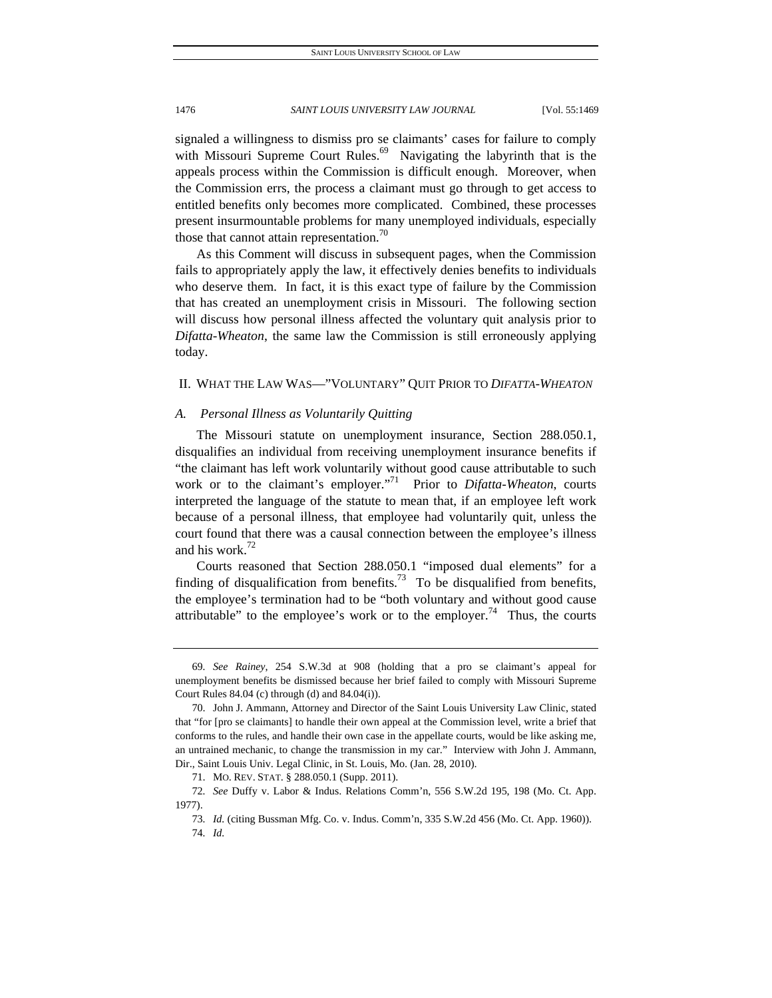signaled a willingness to dismiss pro se claimants' cases for failure to comply with Missouri Supreme Court Rules.<sup>69</sup> Navigating the labyrinth that is the appeals process within the Commission is difficult enough. Moreover, when the Commission errs, the process a claimant must go through to get access to entitled benefits only becomes more complicated. Combined, these processes present insurmountable problems for many unemployed individuals, especially those that cannot attain representation.<sup>70</sup>

As this Comment will discuss in subsequent pages, when the Commission fails to appropriately apply the law, it effectively denies benefits to individuals who deserve them. In fact, it is this exact type of failure by the Commission that has created an unemployment crisis in Missouri. The following section will discuss how personal illness affected the voluntary quit analysis prior to *Difatta-Wheaton*, the same law the Commission is still erroneously applying today.

#### II. WHAT THE LAW WAS—"VOLUNTARY" QUIT PRIOR TO *DIFATTA-WHEATON*

#### *A. Personal Illness as Voluntarily Quitting*

The Missouri statute on unemployment insurance, Section 288.050.1, disqualifies an individual from receiving unemployment insurance benefits if "the claimant has left work voluntarily without good cause attributable to such work or to the claimant's employer."<sup>71</sup> Prior to *Difatta-Wheaton*, courts interpreted the language of the statute to mean that, if an employee left work because of a personal illness, that employee had voluntarily quit, unless the court found that there was a causal connection between the employee's illness and his work. $72$ 

Courts reasoned that Section 288.050.1 "imposed dual elements" for a finding of disqualification from benefits.<sup>73</sup> To be disqualified from benefits, the employee's termination had to be "both voluntary and without good cause attributable" to the employee's work or to the employer.<sup>74</sup> Thus, the courts

<sup>69</sup>*. See Rainey*, 254 S.W.3d at 908 (holding that a pro se claimant's appeal for unemployment benefits be dismissed because her brief failed to comply with Missouri Supreme Court Rules 84.04 (c) through (d) and 84.04(i)).

 <sup>70.</sup> John J. Ammann, Attorney and Director of the Saint Louis University Law Clinic, stated that "for [pro se claimants] to handle their own appeal at the Commission level, write a brief that conforms to the rules, and handle their own case in the appellate courts, would be like asking me, an untrained mechanic, to change the transmission in my car." Interview with John J. Ammann, Dir., Saint Louis Univ. Legal Clinic, in St. Louis, Mo. (Jan. 28, 2010).

 <sup>71.</sup> MO. REV. STAT. § 288.050.1 (Supp. 2011).

<sup>72</sup>*. See* Duffy v. Labor & Indus. Relations Comm'n, 556 S.W.2d 195, 198 (Mo. Ct. App. 1977).

<sup>73</sup>*. Id.* (citing Bussman Mfg. Co. v. Indus. Comm'n, 335 S.W.2d 456 (Mo. Ct. App. 1960)).

<sup>74</sup>*. Id.*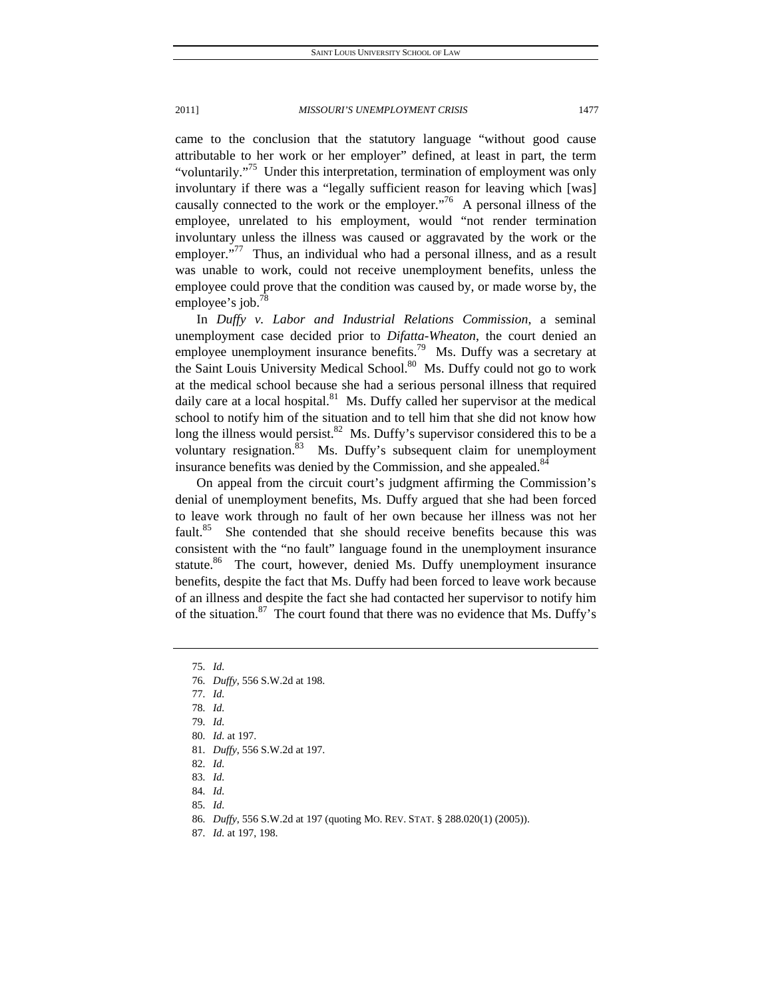came to the conclusion that the statutory language "without good cause attributable to her work or her employer" defined, at least in part, the term "voluntarily."<sup>75</sup> Under this interpretation, termination of employment was only involuntary if there was a "legally sufficient reason for leaving which [was] causally connected to the work or the employer. $176$  A personal illness of the employee, unrelated to his employment, would "not render termination involuntary unless the illness was caused or aggravated by the work or the employer."<sup>77</sup> Thus, an individual who had a personal illness, and as a result was unable to work, could not receive unemployment benefits, unless the employee could prove that the condition was caused by, or made worse by, the employee's job.<sup>78</sup>

In *Duffy v. Labor and Industrial Relations Commission*, a seminal unemployment case decided prior to *Difatta-Wheaton*, the court denied an employee unemployment insurance benefits.<sup>79</sup> Ms. Duffy was a secretary at the Saint Louis University Medical School.<sup>80</sup> Ms. Duffy could not go to work at the medical school because she had a serious personal illness that required daily care at a local hospital. $81$  Ms. Duffy called her supervisor at the medical school to notify him of the situation and to tell him that she did not know how long the illness would persist.<sup>82</sup> Ms. Duffy's supervisor considered this to be a voluntary resignation. $83$  Ms. Duffy's subsequent claim for unemployment insurance benefits was denied by the Commission, and she appealed.<sup>84</sup>

On appeal from the circuit court's judgment affirming the Commission's denial of unemployment benefits, Ms. Duffy argued that she had been forced to leave work through no fault of her own because her illness was not her fault.<sup>85</sup> She contended that she should receive benefits because this was consistent with the "no fault" language found in the unemployment insurance statute.<sup>86</sup> The court, however, denied Ms. Duffy unemployment insurance benefits, despite the fact that Ms. Duffy had been forced to leave work because of an illness and despite the fact she had contacted her supervisor to notify him of the situation. $87$  The court found that there was no evidence that Ms. Duffy's

75*. Id.*

77*. Id.*

79*. Id.*

80*. Id.* at 197.

83*. Id.*

84*. Id.*

85*. Id.*

<sup>76</sup>*. Duffy*, 556 S.W.2d at 198.

<sup>78</sup>*. Id.*

<sup>81</sup>*. Duffy*, 556 S.W.2d at 197.

<sup>82</sup>*. Id.*

<sup>86</sup>*. Duffy*, 556 S.W.2d at 197 (quoting MO. REV. STAT. § 288.020(1) (2005)).

<sup>87</sup>*. Id.* at 197, 198.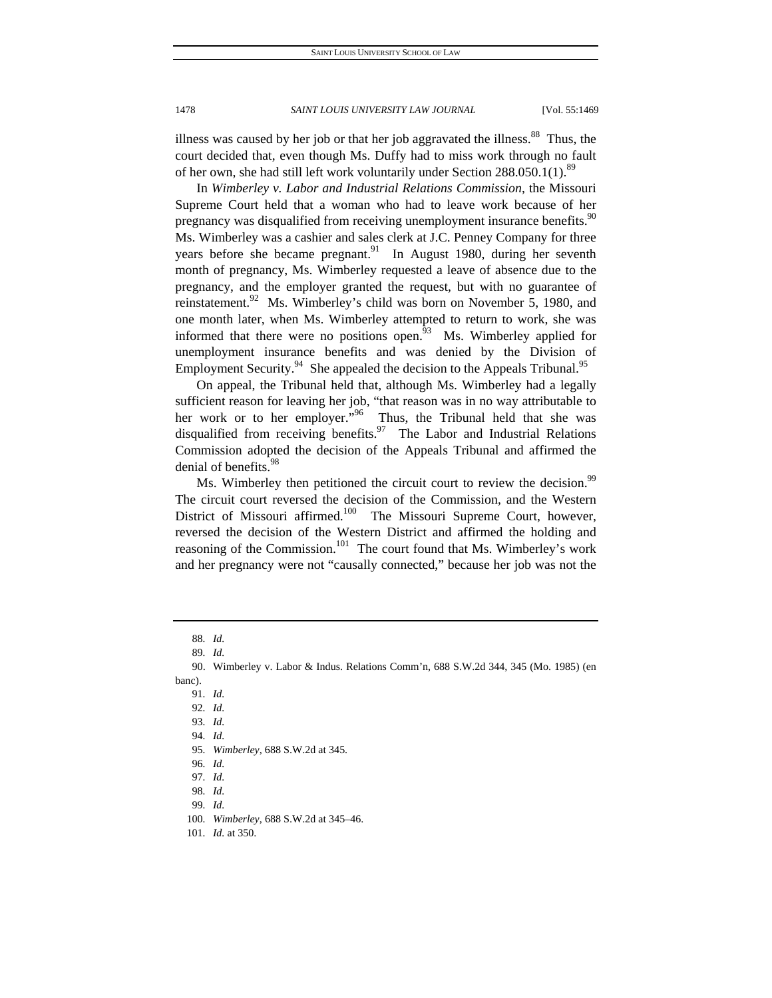illness was caused by her job or that her job aggravated the illness.<sup>88</sup> Thus, the court decided that, even though Ms. Duffy had to miss work through no fault of her own, she had still left work voluntarily under Section 288.050.1(1).<sup>89</sup>

In *Wimberley v. Labor and Industrial Relations Commission*, the Missouri Supreme Court held that a woman who had to leave work because of her pregnancy was disqualified from receiving unemployment insurance benefits.<sup>90</sup> Ms. Wimberley was a cashier and sales clerk at J.C. Penney Company for three years before she became pregnant.<sup>91</sup> In August 1980, during her seventh month of pregnancy, Ms. Wimberley requested a leave of absence due to the pregnancy, and the employer granted the request, but with no guarantee of reinstatement.<sup>92</sup> Ms. Wimberley's child was born on November 5, 1980, and one month later, when Ms. Wimberley attempted to return to work, she was informed that there were no positions open.<sup>93</sup> Ms. Wimberley applied for unemployment insurance benefits and was denied by the Division of Employment Security.<sup>94</sup> She appealed the decision to the Appeals Tribunal.<sup>95</sup>

On appeal, the Tribunal held that, although Ms. Wimberley had a legally sufficient reason for leaving her job, "that reason was in no way attributable to her work or to her employer."<sup>96</sup> Thus, the Tribunal held that she was disqualified from receiving benefits.<sup>97</sup> The Labor and Industrial Relations Commission adopted the decision of the Appeals Tribunal and affirmed the denial of benefits.<sup>98</sup>

Ms. Wimberley then petitioned the circuit court to review the decision.<sup>99</sup> The circuit court reversed the decision of the Commission, and the Western District of Missouri affirmed.<sup>100</sup> The Missouri Supreme Court, however, reversed the decision of the Western District and affirmed the holding and reasoning of the Commission.<sup>101</sup> The court found that Ms. Wimberley's work and her pregnancy were not "causally connected," because her job was not the

banc).

<sup>88</sup>*. Id.*

<sup>89</sup>*. Id.*

 <sup>90.</sup> Wimberley v. Labor & Indus. Relations Comm'n, 688 S.W.2d 344, 345 (Mo. 1985) (en

<sup>91</sup>*. Id.* 92*. Id.*

<sup>93</sup>*. Id.*

<sup>94</sup>*. Id.*

<sup>95</sup>*. Wimberley*, 688 S.W.2d at 345.

<sup>96</sup>*. Id.*

<sup>97</sup>*. Id.* 98*. Id.*

<sup>99</sup>*. Id.*

<sup>100</sup>*. Wimberley*, 688 S.W.2d at 345–46.

<sup>101</sup>*. Id.* at 350.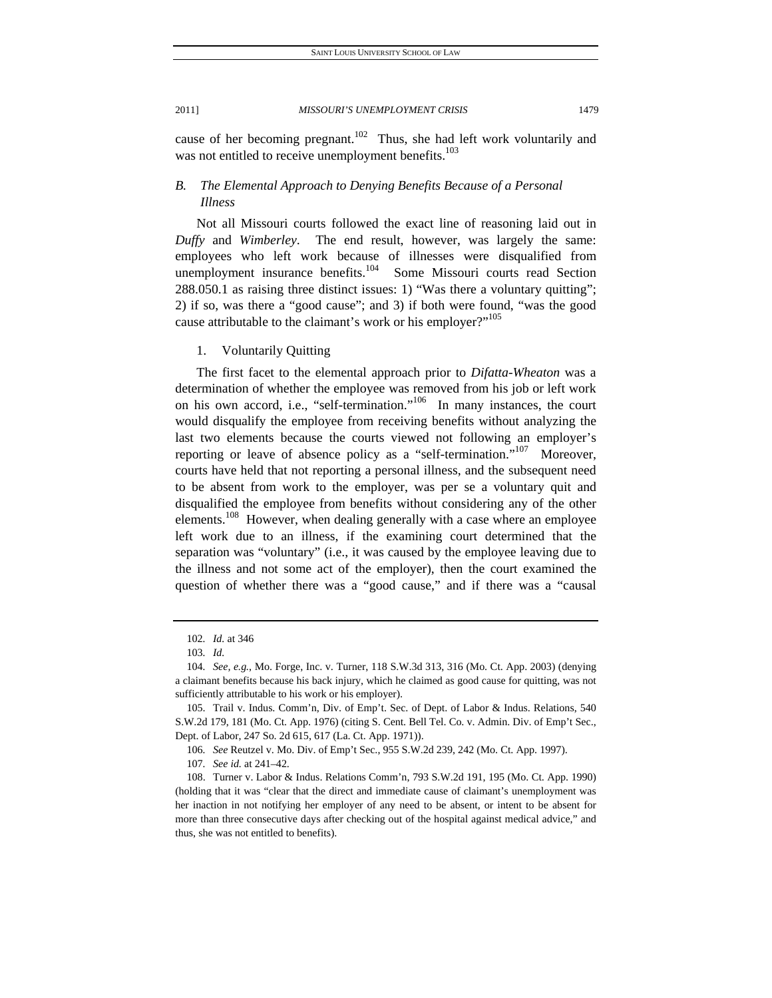cause of her becoming pregnant.<sup>102</sup> Thus, she had left work voluntarily and was not entitled to receive unemployment benefits.<sup>103</sup>

## *B. The Elemental Approach to Denying Benefits Because of a Personal Illness*

Not all Missouri courts followed the exact line of reasoning laid out in *Duffy* and *Wimberley*. The end result, however, was largely the same: employees who left work because of illnesses were disqualified from unemployment insurance benefits.<sup>104</sup> Some Missouri courts read Section 288.050.1 as raising three distinct issues: 1) "Was there a voluntary quitting"; 2) if so, was there a "good cause"; and 3) if both were found, "was the good cause attributable to the claimant's work or his employer?"<sup>105</sup>

1. Voluntarily Quitting

The first facet to the elemental approach prior to *Difatta-Wheaton* was a determination of whether the employee was removed from his job or left work on his own accord, i.e., "self-termination."<sup>106</sup> In many instances, the court would disqualify the employee from receiving benefits without analyzing the last two elements because the courts viewed not following an employer's reporting or leave of absence policy as a "self-termination."<sup>107</sup> Moreover, courts have held that not reporting a personal illness, and the subsequent need to be absent from work to the employer, was per se a voluntary quit and disqualified the employee from benefits without considering any of the other elements.<sup>108</sup> However, when dealing generally with a case where an employee left work due to an illness, if the examining court determined that the separation was "voluntary" (i.e., it was caused by the employee leaving due to the illness and not some act of the employer), then the court examined the question of whether there was a "good cause," and if there was a "causal

<sup>102</sup>*. Id.* at 346

<sup>103</sup>*. Id.*

<sup>104</sup>*. See, e.g.*, Mo. Forge, Inc. v. Turner, 118 S.W.3d 313, 316 (Mo. Ct. App. 2003) (denying a claimant benefits because his back injury, which he claimed as good cause for quitting, was not sufficiently attributable to his work or his employer).

 <sup>105.</sup> Trail v. Indus. Comm'n, Div. of Emp't. Sec. of Dept. of Labor & Indus. Relations, 540 S.W.2d 179, 181 (Mo. Ct. App. 1976) (citing S. Cent. Bell Tel. Co. v. Admin. Div. of Emp't Sec., Dept. of Labor, 247 So. 2d 615, 617 (La. Ct. App. 1971)).

<sup>106</sup>*. See* Reutzel v. Mo. Div. of Emp't Sec., 955 S.W.2d 239, 242 (Mo. Ct. App. 1997).

<sup>107</sup>*. See id.* at 241–42.

 <sup>108.</sup> Turner v. Labor & Indus. Relations Comm'n, 793 S.W.2d 191, 195 (Mo. Ct. App. 1990) (holding that it was "clear that the direct and immediate cause of claimant's unemployment was her inaction in not notifying her employer of any need to be absent, or intent to be absent for more than three consecutive days after checking out of the hospital against medical advice," and thus, she was not entitled to benefits).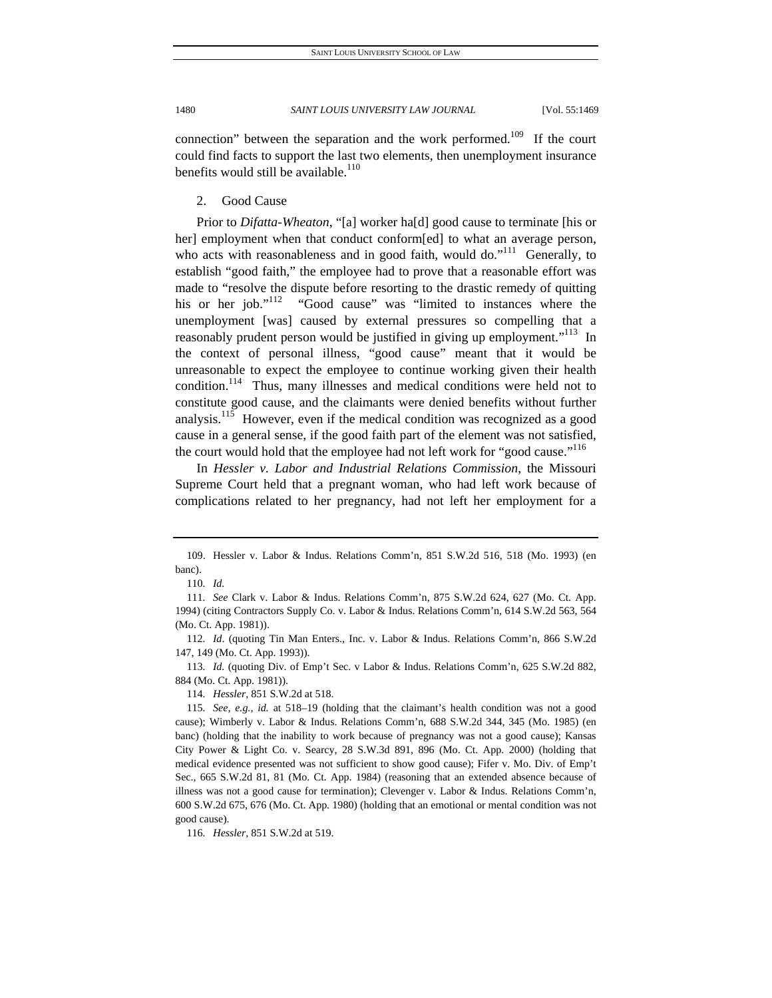connection" between the separation and the work performed.<sup>109</sup> If the court could find facts to support the last two elements, then unemployment insurance benefits would still be available.<sup>110</sup>

2. Good Cause

Prior to *Difatta-Wheaton*, "[a] worker ha[d] good cause to terminate [his or her] employment when that conduct conform[ed] to what an average person, who acts with reasonableness and in good faith, would do."<sup>111</sup> Generally, to establish "good faith," the employee had to prove that a reasonable effort was made to "resolve the dispute before resorting to the drastic remedy of quitting his or her job."<sup>112</sup> "Good cause" was "limited to instances where the unemployment [was] caused by external pressures so compelling that a reasonably prudent person would be justified in giving up employment."<sup>113</sup> In the context of personal illness, "good cause" meant that it would be unreasonable to expect the employee to continue working given their health condition.<sup>114</sup> Thus, many illnesses and medical conditions were held not to constitute good cause, and the claimants were denied benefits without further analysis.<sup>115</sup> However, even if the medical condition was recognized as a good cause in a general sense, if the good faith part of the element was not satisfied, the court would hold that the employee had not left work for "good cause."<sup>116</sup>

In *Hessler v. Labor and Industrial Relations Commission*, the Missouri Supreme Court held that a pregnant woman, who had left work because of complications related to her pregnancy, had not left her employment for a

114*. Hessler*, 851 S.W.2d at 518.

116*. Hessler*, 851 S.W.2d at 519.

 <sup>109.</sup> Hessler v. Labor & Indus. Relations Comm'n, 851 S.W.2d 516, 518 (Mo. 1993) (en banc).

<sup>110</sup>*. Id.*

<sup>111</sup>*. See* Clark v. Labor & Indus. Relations Comm'n, 875 S.W.2d 624, 627 (Mo. Ct. App. 1994) (citing Contractors Supply Co. v. Labor & Indus. Relations Comm'n, 614 S.W.2d 563, 564 (Mo. Ct. App. 1981)).

<sup>112</sup>*. Id*. (quoting Tin Man Enters., Inc. v. Labor & Indus. Relations Comm'n, 866 S.W.2d 147, 149 (Mo. Ct. App. 1993)).

<sup>113</sup>*. Id.* (quoting Div. of Emp't Sec. v Labor & Indus. Relations Comm'n, 625 S.W.2d 882, 884 (Mo. Ct. App. 1981)).

<sup>115</sup>*. See, e.g.*, *id.* at 518–19 (holding that the claimant's health condition was not a good cause); Wimberly v. Labor & Indus. Relations Comm'n, 688 S.W.2d 344, 345 (Mo. 1985) (en banc) (holding that the inability to work because of pregnancy was not a good cause); Kansas City Power & Light Co. v. Searcy, 28 S.W.3d 891, 896 (Mo. Ct. App. 2000) (holding that medical evidence presented was not sufficient to show good cause); Fifer v. Mo. Div. of Emp't Sec., 665 S.W.2d 81, 81 (Mo. Ct. App. 1984) (reasoning that an extended absence because of illness was not a good cause for termination); Clevenger v. Labor & Indus. Relations Comm'n, 600 S.W.2d 675, 676 (Mo. Ct. App. 1980) (holding that an emotional or mental condition was not good cause).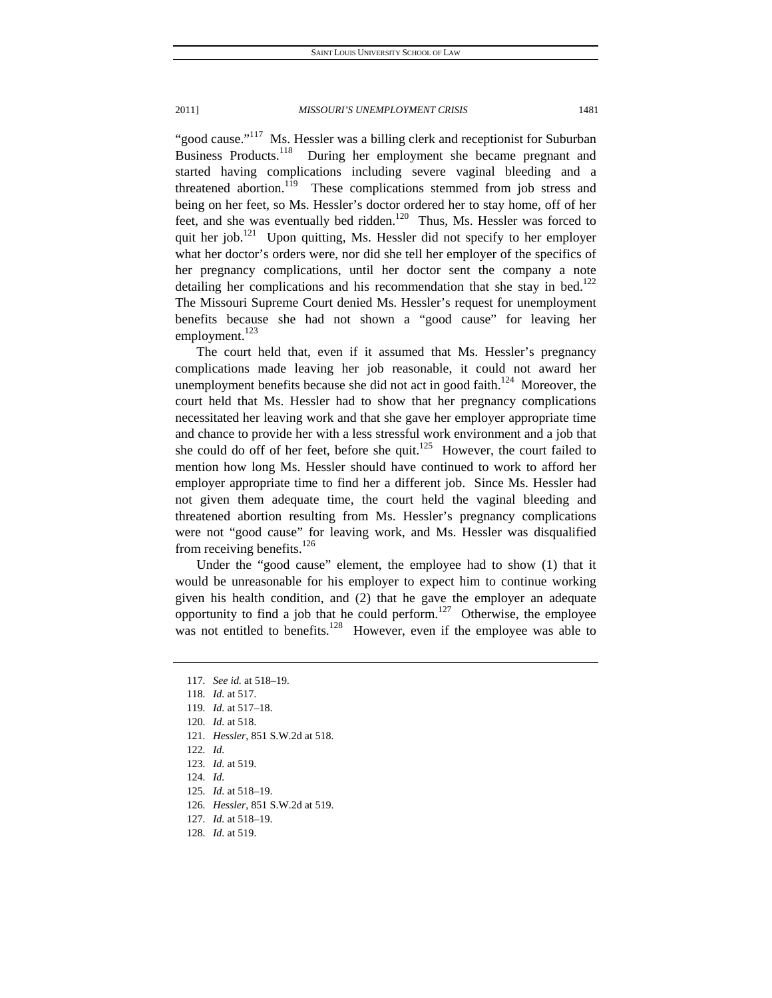"good cause."<sup>117</sup> Ms. Hessler was a billing clerk and receptionist for Suburban Business Products.<sup>118</sup> During her employment she became pregnant and started having complications including severe vaginal bleeding and a threatened abortion.<sup>119</sup> These complications stemmed from job stress and being on her feet, so Ms. Hessler's doctor ordered her to stay home, off of her feet, and she was eventually bed ridden.<sup>120</sup> Thus, Ms. Hessler was forced to quit her job.<sup>121</sup> Upon quitting, Ms. Hessler did not specify to her employer what her doctor's orders were, nor did she tell her employer of the specifics of her pregnancy complications, until her doctor sent the company a note detailing her complications and his recommendation that she stay in bed.<sup>122</sup> The Missouri Supreme Court denied Ms. Hessler's request for unemployment benefits because she had not shown a "good cause" for leaving her employment.<sup>123</sup>

The court held that, even if it assumed that Ms. Hessler's pregnancy complications made leaving her job reasonable, it could not award her unemployment benefits because she did not act in good faith.<sup>124</sup> Moreover, the court held that Ms. Hessler had to show that her pregnancy complications necessitated her leaving work and that she gave her employer appropriate time and chance to provide her with a less stressful work environment and a job that she could do off of her feet, before she quit.<sup>125</sup> However, the court failed to mention how long Ms. Hessler should have continued to work to afford her employer appropriate time to find her a different job. Since Ms. Hessler had not given them adequate time, the court held the vaginal bleeding and threatened abortion resulting from Ms. Hessler's pregnancy complications were not "good cause" for leaving work, and Ms. Hessler was disqualified from receiving benefits. $^{126}$ 

Under the "good cause" element, the employee had to show (1) that it would be unreasonable for his employer to expect him to continue working given his health condition, and (2) that he gave the employer an adequate opportunity to find a job that he could perform.<sup>127</sup> Otherwise, the employee was not entitled to benefits.<sup>128</sup> However, even if the employee was able to

- 121*. Hessler*, 851 S.W.2d at 518.
- 122*. Id.*
- 123*. Id.* at 519.
- 124*. Id.*
- 125*. Id.* at 518–19.
- 126*. Hessler*, 851 S.W.2d at 519.
- 127*. Id.* at 518–19.
- 128*. Id.* at 519.

<sup>117</sup>*. See id.* at 518–19.

<sup>118</sup>*. Id.* at 517.

<sup>119</sup>*. Id.* at 517–18.

<sup>120</sup>*. Id.* at 518.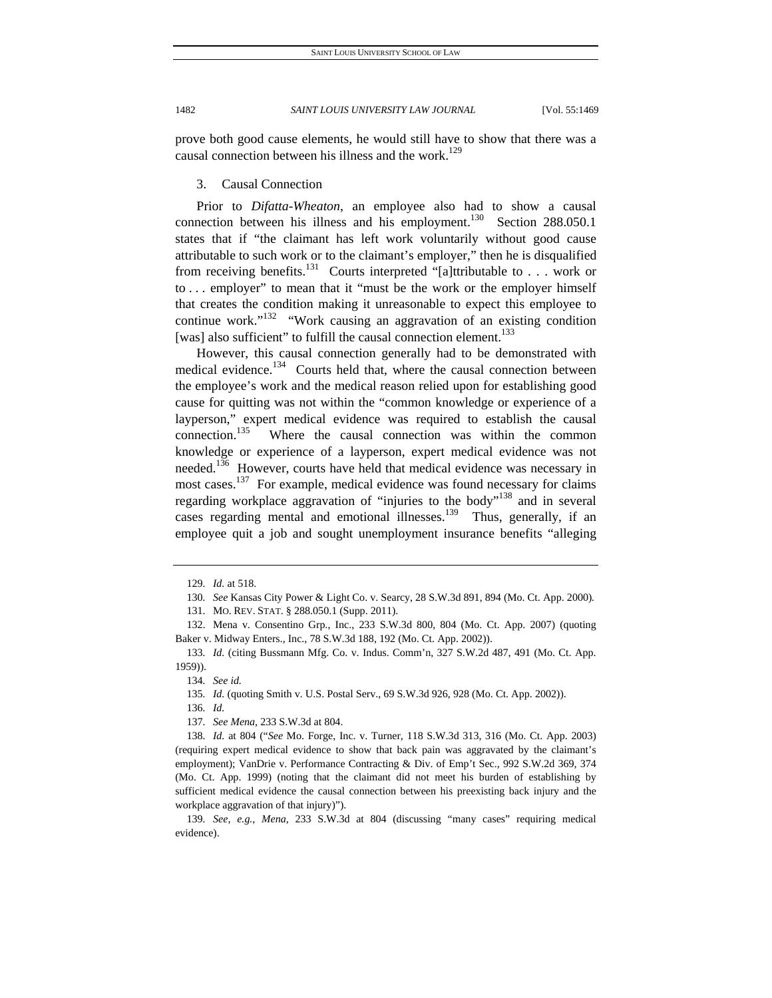prove both good cause elements, he would still have to show that there was a causal connection between his illness and the work.<sup>129</sup>

#### 3. Causal Connection

Prior to *Difatta-Wheaton*, an employee also had to show a causal connection between his illness and his employment.<sup>130</sup> Section 288.050.1 states that if "the claimant has left work voluntarily without good cause attributable to such work or to the claimant's employer," then he is disqualified from receiving benefits.<sup>131</sup> Courts interpreted "[a]ttributable to . . . work or to . . . employer" to mean that it "must be the work or the employer himself that creates the condition making it unreasonable to expect this employee to continue work." $132$  "Work causing an aggravation of an existing condition [was] also sufficient" to fulfill the causal connection element.<sup>133</sup>

However, this causal connection generally had to be demonstrated with medical evidence.<sup>134</sup> Courts held that, where the causal connection between the employee's work and the medical reason relied upon for establishing good cause for quitting was not within the "common knowledge or experience of a layperson," expert medical evidence was required to establish the causal connection.<sup>135</sup> Where the causal connection was within the common knowledge or experience of a layperson, expert medical evidence was not needed.<sup>136</sup> However, courts have held that medical evidence was necessary in most cases.<sup>137</sup> For example, medical evidence was found necessary for claims regarding workplace aggravation of "injuries to the body"<sup>138</sup> and in several cases regarding mental and emotional illnesses.<sup>139</sup> Thus, generally, if an employee quit a job and sought unemployment insurance benefits "alleging

136*. Id.*

<sup>129</sup>*. Id.* at 518.

<sup>130</sup>*. See* Kansas City Power & Light Co. v. Searcy, 28 S.W.3d 891, 894 (Mo. Ct. App. 2000)*.*

 <sup>131.</sup> MO. REV. STAT. § 288.050.1 (Supp. 2011).

 <sup>132.</sup> Mena v. Consentino Grp., Inc., 233 S.W.3d 800, 804 (Mo. Ct. App. 2007) (quoting Baker v. Midway Enters., Inc., 78 S.W.3d 188, 192 (Mo. Ct. App. 2002)).

<sup>133</sup>*. Id.* (citing Bussmann Mfg. Co. v. Indus. Comm'n, 327 S.W.2d 487, 491 (Mo. Ct. App. 1959)).

<sup>134</sup>*. See id.*

<sup>135</sup>*. Id.* (quoting Smith v. U.S. Postal Serv., 69 S.W.3d 926, 928 (Mo. Ct. App. 2002)).

<sup>137</sup>*. See Mena*, 233 S.W.3d at 804.

<sup>138</sup>*. Id.* at 804 ("*See* Mo. Forge, Inc. v. Turner, 118 S.W.3d 313, 316 (Mo. Ct. App. 2003) (requiring expert medical evidence to show that back pain was aggravated by the claimant's employment); VanDrie v. Performance Contracting & Div. of Emp't Sec., 992 S.W.2d 369, 374 (Mo. Ct. App. 1999) (noting that the claimant did not meet his burden of establishing by sufficient medical evidence the causal connection between his preexisting back injury and the workplace aggravation of that injury)").

<sup>139</sup>*. See, e.g.*, *Mena*, 233 S.W.3d at 804 (discussing "many cases" requiring medical evidence).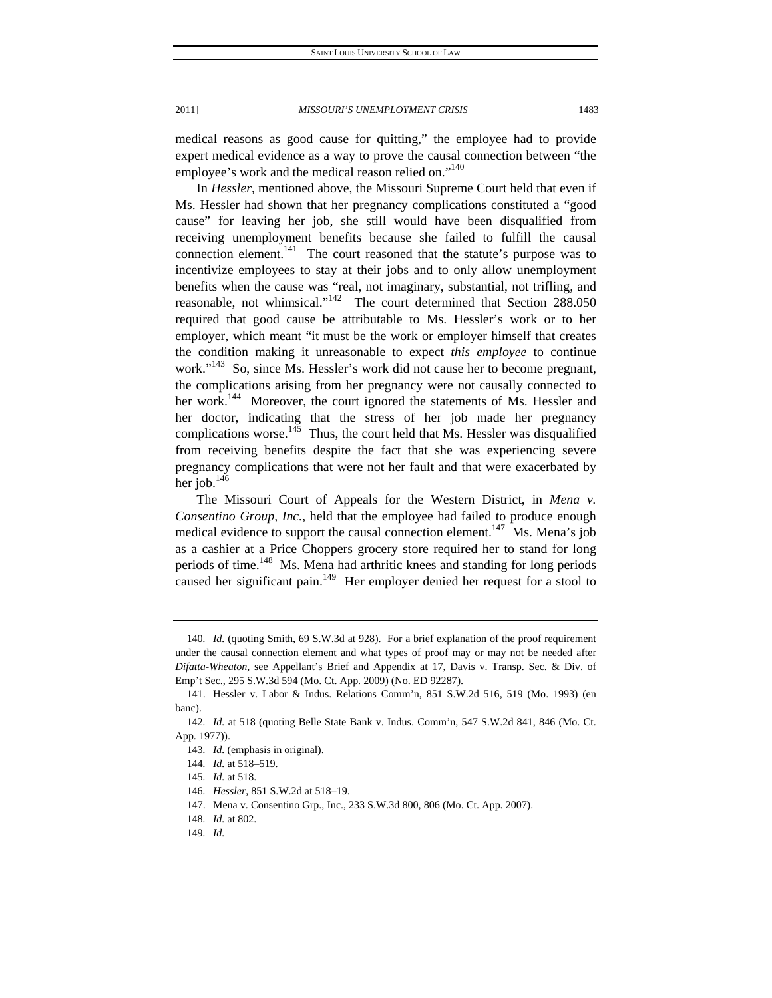medical reasons as good cause for quitting," the employee had to provide expert medical evidence as a way to prove the causal connection between "the employee's work and the medical reason relied on."<sup>140</sup>

In *Hessler*, mentioned above, the Missouri Supreme Court held that even if Ms. Hessler had shown that her pregnancy complications constituted a "good cause" for leaving her job, she still would have been disqualified from receiving unemployment benefits because she failed to fulfill the causal connection element.<sup>141</sup> The court reasoned that the statute's purpose was to incentivize employees to stay at their jobs and to only allow unemployment benefits when the cause was "real, not imaginary, substantial, not trifling, and reasonable, not whimsical."<sup>142</sup> The court determined that Section 288.050 required that good cause be attributable to Ms. Hessler's work or to her employer, which meant "it must be the work or employer himself that creates the condition making it unreasonable to expect *this employee* to continue work."<sup>143</sup> So, since Ms. Hessler's work did not cause her to become pregnant, the complications arising from her pregnancy were not causally connected to her work.<sup>144</sup> Moreover, the court ignored the statements of Ms. Hessler and her doctor, indicating that the stress of her job made her pregnancy complications worse. $145$  Thus, the court held that Ms. Hessler was disqualified from receiving benefits despite the fact that she was experiencing severe pregnancy complications that were not her fault and that were exacerbated by her job. $146$ 

The Missouri Court of Appeals for the Western District, in *Mena v. Consentino Group, Inc.*, held that the employee had failed to produce enough medical evidence to support the causal connection element.<sup>147</sup> Ms. Mena's job as a cashier at a Price Choppers grocery store required her to stand for long periods of time.<sup>148</sup> Ms. Mena had arthritic knees and standing for long periods caused her significant pain.<sup>149</sup> Her employer denied her request for a stool to

<sup>140</sup>*. Id.* (quoting Smith, 69 S.W.3d at 928). For a brief explanation of the proof requirement under the causal connection element and what types of proof may or may not be needed after *Difatta-Wheaton*, see Appellant's Brief and Appendix at 17, Davis v. Transp. Sec. & Div. of Emp't Sec., 295 S.W.3d 594 (Mo. Ct. App. 2009) (No. ED 92287).

 <sup>141.</sup> Hessler v. Labor & Indus. Relations Comm'n, 851 S.W.2d 516, 519 (Mo. 1993) (en banc).

<sup>142</sup>*. Id.* at 518 (quoting Belle State Bank v. Indus. Comm'n, 547 S.W.2d 841, 846 (Mo. Ct. App. 1977)).

<sup>143</sup>*. Id.* (emphasis in original).

<sup>144</sup>*. Id.* at 518–519.

<sup>145</sup>*. Id.* at 518.

<sup>146</sup>*. Hessler*, 851 S.W.2d at 518–19.

 <sup>147.</sup> Mena v. Consentino Grp., Inc., 233 S.W.3d 800, 806 (Mo. Ct. App. 2007).

<sup>148</sup>*. Id.* at 802.

<sup>149</sup>*. Id.*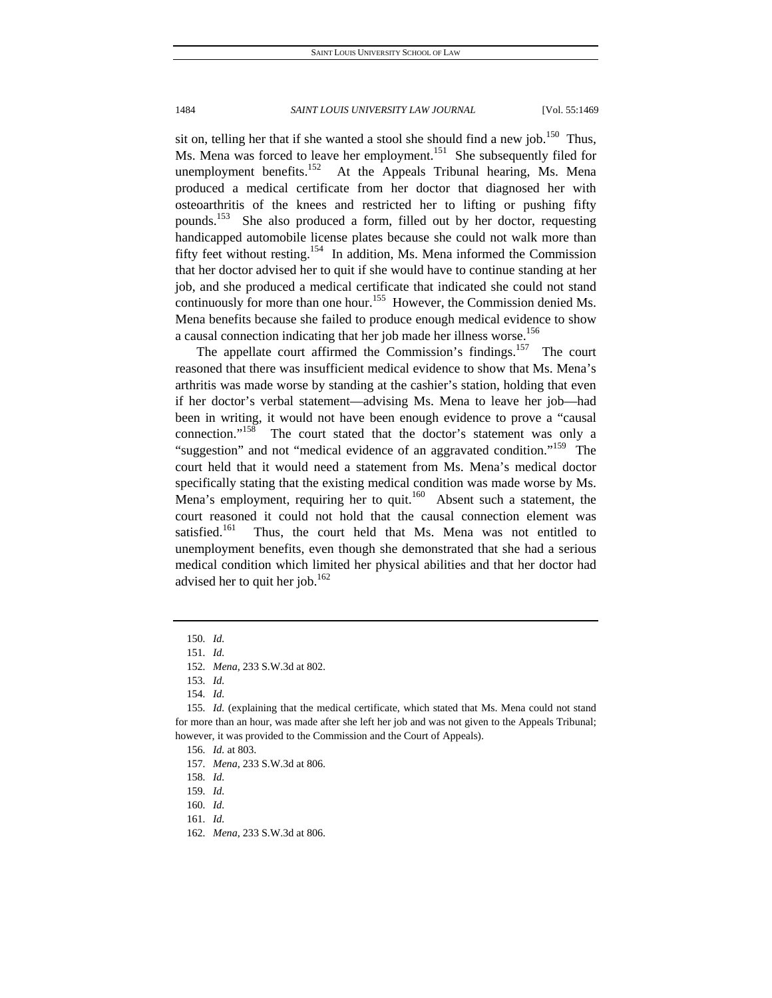sit on, telling her that if she wanted a stool she should find a new job.<sup>150</sup> Thus, Ms. Mena was forced to leave her employment.<sup>151</sup> She subsequently filed for unemployment benefits.<sup>152</sup> At the Appeals Tribunal hearing, Ms. Mena produced a medical certificate from her doctor that diagnosed her with osteoarthritis of the knees and restricted her to lifting or pushing fifty pounds.153 She also produced a form, filled out by her doctor, requesting handicapped automobile license plates because she could not walk more than fifty feet without resting.<sup>154</sup> In addition, Ms. Mena informed the Commission that her doctor advised her to quit if she would have to continue standing at her job, and she produced a medical certificate that indicated she could not stand continuously for more than one hour.<sup>155</sup> However, the Commission denied Ms. Mena benefits because she failed to produce enough medical evidence to show a causal connection indicating that her job made her illness worse.<sup>156</sup>

The appellate court affirmed the Commission's findings.<sup>157</sup> The court reasoned that there was insufficient medical evidence to show that Ms. Mena's arthritis was made worse by standing at the cashier's station, holding that even if her doctor's verbal statement—advising Ms. Mena to leave her job—had been in writing, it would not have been enough evidence to prove a "causal connection."158 The court stated that the doctor's statement was only a "suggestion" and not "medical evidence of an aggravated condition."<sup>159</sup> The court held that it would need a statement from Ms. Mena's medical doctor specifically stating that the existing medical condition was made worse by Ms. Mena's employment, requiring her to quit.<sup>160</sup> Absent such a statement, the court reasoned it could not hold that the causal connection element was satisfied.<sup>161</sup> Thus, the court held that Ms. Mena was not entitled to unemployment benefits, even though she demonstrated that she had a serious medical condition which limited her physical abilities and that her doctor had advised her to quit her job. $162$ 

<sup>150</sup>*. Id.*

<sup>151</sup>*. Id.*

<sup>152</sup>*. Mena*, 233 S.W.3d at 802.

<sup>153</sup>*. Id.*

<sup>154</sup>*. Id.*

<sup>155</sup>*. Id.* (explaining that the medical certificate, which stated that Ms. Mena could not stand for more than an hour, was made after she left her job and was not given to the Appeals Tribunal; however, it was provided to the Commission and the Court of Appeals).

<sup>156</sup>*. Id.* at 803.

<sup>157</sup>*. Mena*, 233 S.W.3d at 806.

<sup>158</sup>*. Id.*

<sup>159</sup>*. Id.*

<sup>160</sup>*. Id.*

<sup>161</sup>*. Id.*

<sup>162</sup>*. Mena*, 233 S.W.3d at 806.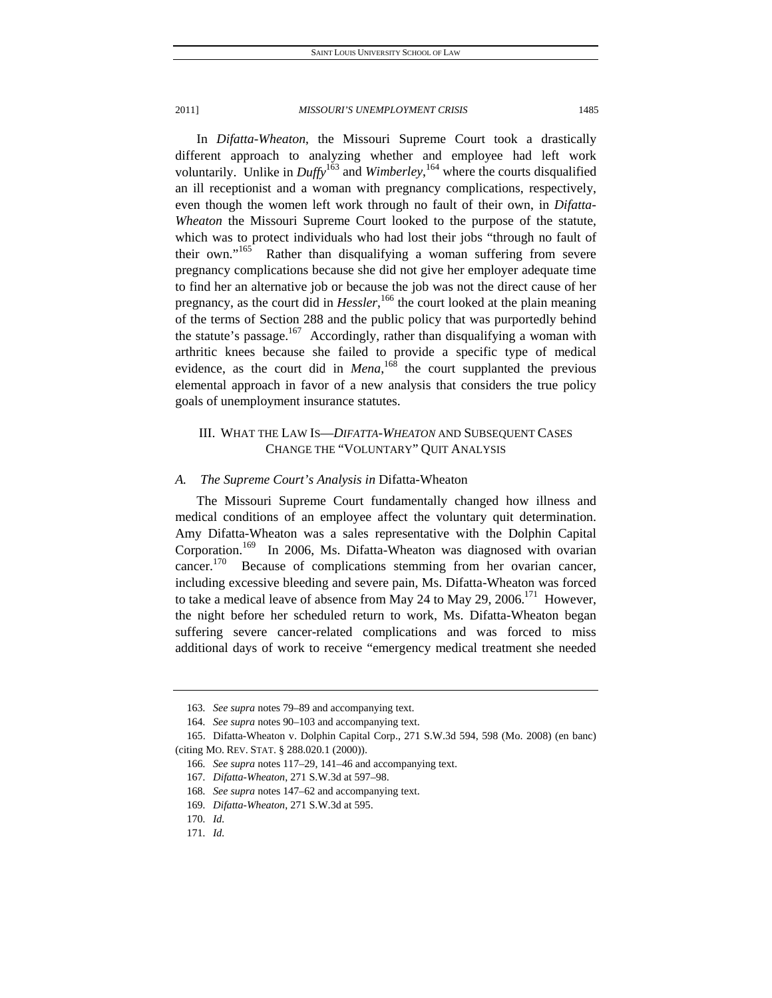In *Difatta-Wheaton*, the Missouri Supreme Court took a drastically different approach to analyzing whether and employee had left work voluntarily. Unlike in *Duffy*<sup>163</sup> and *Wimberley*, <sup>164</sup> where the courts disqualified an ill receptionist and a woman with pregnancy complications, respectively, even though the women left work through no fault of their own, in *Difatta-Wheaton* the Missouri Supreme Court looked to the purpose of the statute, which was to protect individuals who had lost their jobs "through no fault of their own."<sup>165</sup> Rather than disqualifying a woman suffering from severe pregnancy complications because she did not give her employer adequate time to find her an alternative job or because the job was not the direct cause of her pregnancy, as the court did in *Hessler*, 166 the court looked at the plain meaning of the terms of Section 288 and the public policy that was purportedly behind the statute's passage. $167$  Accordingly, rather than disqualifying a woman with arthritic knees because she failed to provide a specific type of medical evidence, as the court did in  $Mena$ , <sup>168</sup> the court supplanted the previous elemental approach in favor of a new analysis that considers the true policy goals of unemployment insurance statutes.

## III. WHAT THE LAW IS—*DIFATTA-WHEATON* AND SUBSEQUENT CASES CHANGE THE "VOLUNTARY" QUIT ANALYSIS

#### *A. The Supreme Court's Analysis in* Difatta-Wheaton

The Missouri Supreme Court fundamentally changed how illness and medical conditions of an employee affect the voluntary quit determination. Amy Difatta-Wheaton was a sales representative with the Dolphin Capital Corporation.<sup>169</sup> In 2006, Ms. Difatta-Wheaton was diagnosed with ovarian cancer.<sup>170</sup> Because of complications stemming from her ovarian cancer, including excessive bleeding and severe pain, Ms. Difatta-Wheaton was forced to take a medical leave of absence from May 24 to May 29, 2006.<sup>171</sup> However, the night before her scheduled return to work, Ms. Difatta-Wheaton began suffering severe cancer-related complications and was forced to miss additional days of work to receive "emergency medical treatment she needed

<sup>163</sup>*. See supra* notes 79–89 and accompanying text.

<sup>164</sup>*. See supra* notes 90–103 and accompanying text.

 <sup>165.</sup> Difatta-Wheaton v. Dolphin Capital Corp., 271 S.W.3d 594, 598 (Mo. 2008) (en banc) (citing MO. REV. STAT. § 288.020.1 (2000)).

<sup>166</sup>*. See supra* notes 117–29, 141–46 and accompanying text.

<sup>167</sup>*. Difatta-Wheaton*, 271 S.W.3d at 597–98.

<sup>168</sup>*. See supra* notes 147–62 and accompanying text.

<sup>169</sup>*. Difatta-Wheaton*, 271 S.W.3d at 595.

<sup>170</sup>*. Id.*

<sup>171</sup>*. Id.*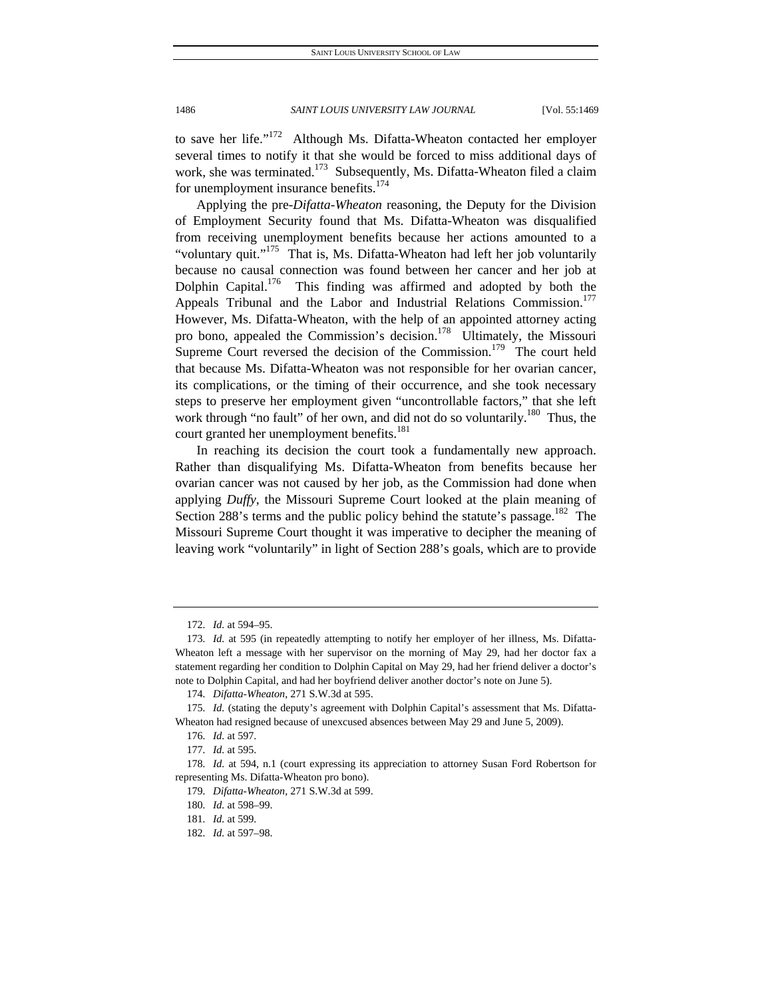to save her life."<sup>172</sup> Although Ms. Difatta-Wheaton contacted her employer several times to notify it that she would be forced to miss additional days of work, she was terminated.<sup>173</sup> Subsequently, Ms. Difatta-Wheaton filed a claim for unemployment insurance benefits.<sup>174</sup>

Applying the pre-*Difatta-Wheaton* reasoning, the Deputy for the Division of Employment Security found that Ms. Difatta-Wheaton was disqualified from receiving unemployment benefits because her actions amounted to a "voluntary quit."<sup>175</sup> That is, Ms. Difatta-Wheaton had left her job voluntarily because no causal connection was found between her cancer and her job at Dolphin Capital.<sup>176</sup> This finding was affirmed and adopted by both the Appeals Tribunal and the Labor and Industrial Relations Commission.<sup>177</sup> However, Ms. Difatta-Wheaton, with the help of an appointed attorney acting pro bono, appealed the Commission's decision.<sup>178</sup> Ultimately, the Missouri Supreme Court reversed the decision of the Commission.<sup>179</sup> The court held that because Ms. Difatta-Wheaton was not responsible for her ovarian cancer, its complications, or the timing of their occurrence, and she took necessary steps to preserve her employment given "uncontrollable factors," that she left work through "no fault" of her own, and did not do so voluntarily.<sup>180</sup> Thus, the court granted her unemployment benefits.<sup>181</sup>

In reaching its decision the court took a fundamentally new approach. Rather than disqualifying Ms. Difatta-Wheaton from benefits because her ovarian cancer was not caused by her job, as the Commission had done when applying *Duffy*, the Missouri Supreme Court looked at the plain meaning of Section 288's terms and the public policy behind the statute's passage.<sup>182</sup> The Missouri Supreme Court thought it was imperative to decipher the meaning of leaving work "voluntarily" in light of Section 288's goals, which are to provide

<sup>172</sup>*. Id.* at 594–95.

<sup>173</sup>*. Id.* at 595 (in repeatedly attempting to notify her employer of her illness, Ms. Difatta-Wheaton left a message with her supervisor on the morning of May 29, had her doctor fax a statement regarding her condition to Dolphin Capital on May 29, had her friend deliver a doctor's note to Dolphin Capital, and had her boyfriend deliver another doctor's note on June 5).

<sup>174</sup>*. Difatta-Wheaton*, 271 S.W.3d at 595.

<sup>175</sup>*. Id.* (stating the deputy's agreement with Dolphin Capital's assessment that Ms. Difatta-Wheaton had resigned because of unexcused absences between May 29 and June 5, 2009).

<sup>176</sup>*. Id.* at 597.

<sup>177</sup>*. Id.* at 595.

<sup>178</sup>*. Id.* at 594, n.1 (court expressing its appreciation to attorney Susan Ford Robertson for representing Ms. Difatta-Wheaton pro bono).

<sup>179</sup>*. Difatta-Wheaton*, 271 S.W.3d at 599.

<sup>180</sup>*. Id.* at 598–99.

<sup>181</sup>*. Id.* at 599.

<sup>182</sup>*. Id.* at 597–98.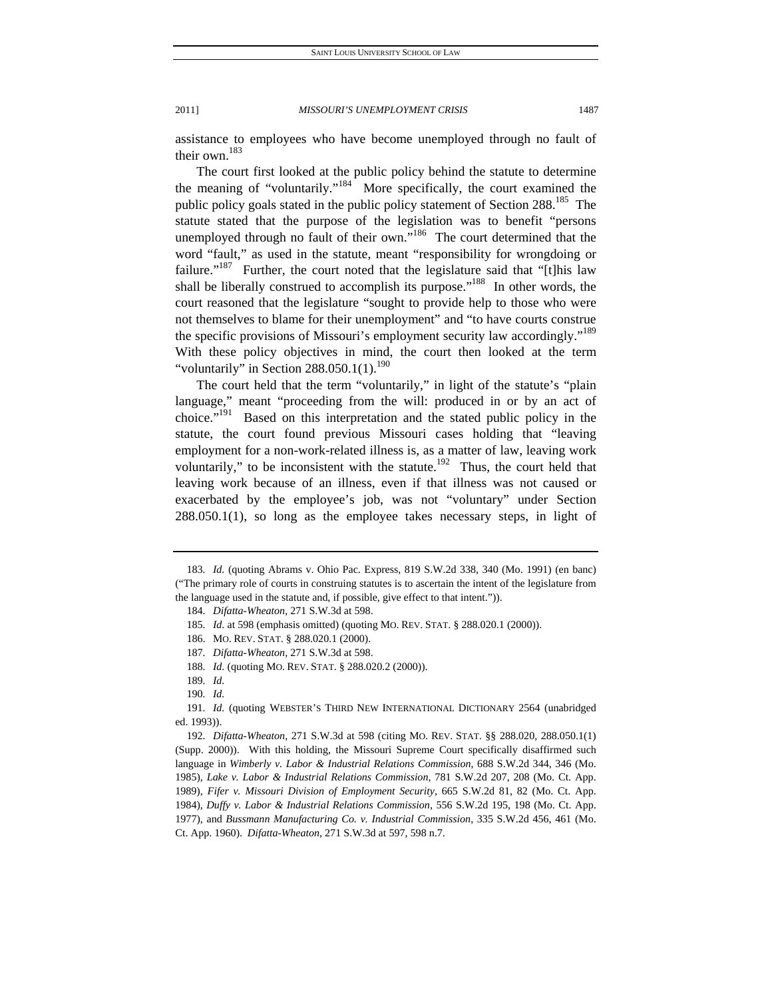assistance to employees who have become unemployed through no fault of their own. $183$ 

The court first looked at the public policy behind the statute to determine the meaning of "voluntarily."184 More specifically, the court examined the public policy goals stated in the public policy statement of Section 288.<sup>185</sup> The statute stated that the purpose of the legislation was to benefit "persons unemployed through no fault of their own."<sup>186</sup> The court determined that the word "fault," as used in the statute, meant "responsibility for wrongdoing or failure."<sup>187</sup> Further, the court noted that the legislature said that "[t]his law shall be liberally construed to accomplish its purpose."<sup>188</sup> In other words, the court reasoned that the legislature "sought to provide help to those who were not themselves to blame for their unemployment" and "to have courts construe the specific provisions of Missouri's employment security law accordingly."<sup>189</sup> With these policy objectives in mind, the court then looked at the term "voluntarily" in Section  $288.050.1(1).<sup>190</sup>$ 

The court held that the term "voluntarily," in light of the statute's "plain language," meant "proceeding from the will: produced in or by an act of choice."<sup>191</sup> Based on this interpretation and the stated public policy in the statute, the court found previous Missouri cases holding that "leaving employment for a non-work-related illness is, as a matter of law, leaving work voluntarily," to be inconsistent with the statute.<sup>192</sup> Thus, the court held that leaving work because of an illness, even if that illness was not caused or exacerbated by the employee's job, was not "voluntary" under Section 288.050.1(1), so long as the employee takes necessary steps, in light of

<sup>183</sup>*. Id.* (quoting Abrams v. Ohio Pac. Express, 819 S.W.2d 338, 340 (Mo. 1991) (en banc) ("The primary role of courts in construing statutes is to ascertain the intent of the legislature from the language used in the statute and, if possible, give effect to that intent.")).

<sup>184</sup>*. Difatta-Wheaton*, 271 S.W.3d at 598.

<sup>185</sup>*. Id.* at 598 (emphasis omitted) (quoting MO. REV. STAT. § 288.020.1 (2000)).

 <sup>186.</sup> MO. REV. STAT. § 288.020.1 (2000).

<sup>187</sup>*. Difatta-Wheaton*, 271 S.W.3d at 598.

<sup>188</sup>*. Id.* (quoting MO. REV. STAT. § 288.020.2 (2000)).

<sup>189</sup>*. Id.*

<sup>190</sup>*. Id.*

<sup>191</sup>*. Id.* (quoting WEBSTER'S THIRD NEW INTERNATIONAL DICTIONARY 2564 (unabridged ed. 1993)).

<sup>192</sup>*. Difatta-Wheaton*, 271 S.W.3d at 598 (citing MO. REV. STAT. §§ 288.020, 288.050.1(1) (Supp. 2000)). With this holding, the Missouri Supreme Court specifically disaffirmed such language in *Wimberly v. Labor & Industrial Relations Commission*, 688 S.W.2d 344, 346 (Mo. 1985), *Lake v. Labor & Industrial Relations Commission*, 781 S.W.2d 207, 208 (Mo. Ct. App. 1989), *Fifer v. Missouri Division of Employment Security*, 665 S.W.2d 81, 82 (Mo. Ct. App. 1984), *Duffy v. Labor & Industrial Relations Commission*, 556 S.W.2d 195, 198 (Mo. Ct. App. 1977), and *Bussmann Manufacturing Co. v. Industrial Commission*, 335 S.W.2d 456, 461 (Mo. Ct. App. 1960). *Difatta-Wheaton*, 271 S.W.3d at 597, 598 n.7.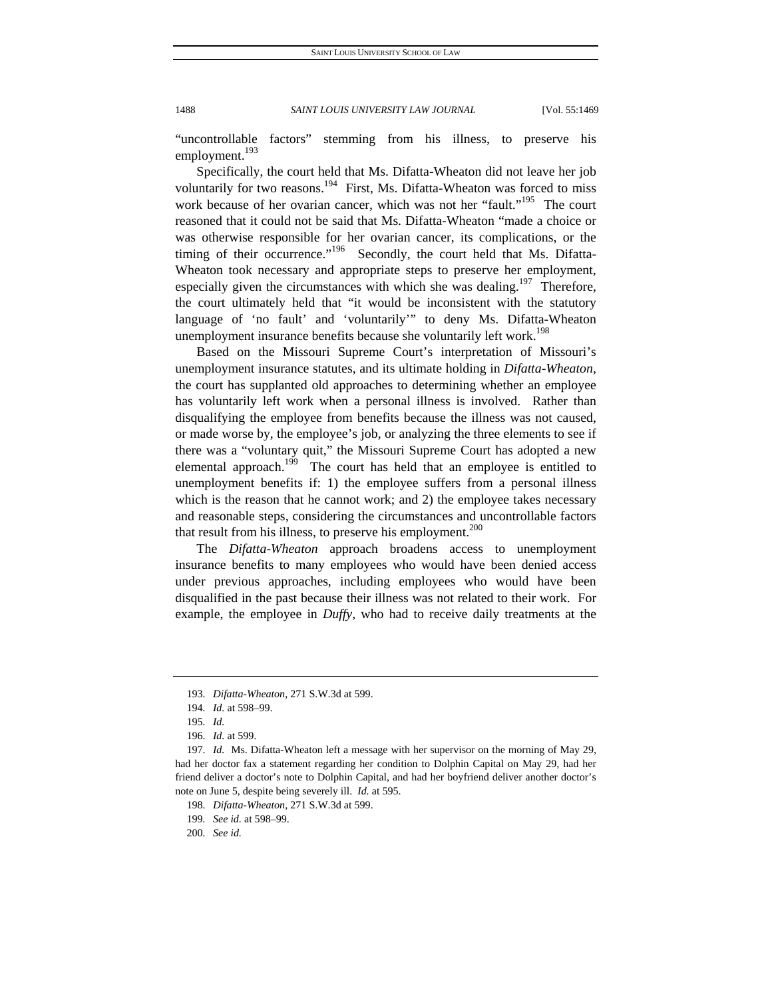"uncontrollable factors" stemming from his illness, to preserve his employment.<sup>193</sup>

Specifically, the court held that Ms. Difatta-Wheaton did not leave her job voluntarily for two reasons.<sup>194</sup> First, Ms. Difatta-Wheaton was forced to miss work because of her ovarian cancer, which was not her "fault."<sup>195</sup> The court reasoned that it could not be said that Ms. Difatta-Wheaton "made a choice or was otherwise responsible for her ovarian cancer, its complications, or the timing of their occurrence."<sup>196</sup> Secondly, the court held that Ms. Difatta-Wheaton took necessary and appropriate steps to preserve her employment, especially given the circumstances with which she was dealing.<sup>197</sup> Therefore, the court ultimately held that "it would be inconsistent with the statutory language of 'no fault' and 'voluntarily'" to deny Ms. Difatta-Wheaton unemployment insurance benefits because she voluntarily left work.<sup>198</sup>

Based on the Missouri Supreme Court's interpretation of Missouri's unemployment insurance statutes, and its ultimate holding in *Difatta-Wheaton*, the court has supplanted old approaches to determining whether an employee has voluntarily left work when a personal illness is involved. Rather than disqualifying the employee from benefits because the illness was not caused, or made worse by, the employee's job, or analyzing the three elements to see if there was a "voluntary quit," the Missouri Supreme Court has adopted a new elemental approach.<sup>199</sup> The court has held that an employee is entitled to unemployment benefits if: 1) the employee suffers from a personal illness which is the reason that he cannot work; and 2) the employee takes necessary and reasonable steps, considering the circumstances and uncontrollable factors that result from his illness, to preserve his employment.<sup>200</sup>

The *Difatta-Wheaton* approach broadens access to unemployment insurance benefits to many employees who would have been denied access under previous approaches, including employees who would have been disqualified in the past because their illness was not related to their work. For example, the employee in *Duffy*, who had to receive daily treatments at the

<sup>193</sup>*. Difatta-Wheaton*, 271 S.W.3d at 599.

<sup>194</sup>*. Id.* at 598–99.

<sup>195</sup>*. Id.*

<sup>196</sup>*. Id.* at 599.

<sup>197</sup>*. Id.* Ms. Difatta-Wheaton left a message with her supervisor on the morning of May 29, had her doctor fax a statement regarding her condition to Dolphin Capital on May 29, had her friend deliver a doctor's note to Dolphin Capital, and had her boyfriend deliver another doctor's note on June 5, despite being severely ill. *Id.* at 595.

<sup>198</sup>*. Difatta-Wheaton*, 271 S.W.3d at 599.

<sup>199</sup>*. See id.* at 598–99.

<sup>200</sup>*. See id.*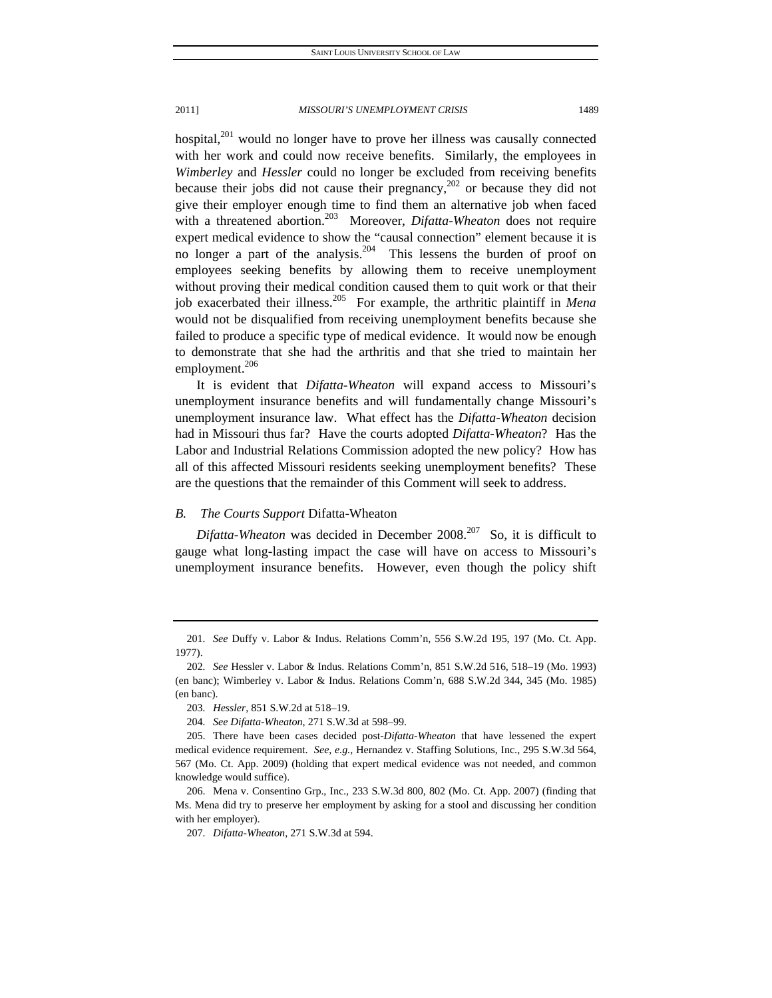hospital, $201$  would no longer have to prove her illness was causally connected with her work and could now receive benefits. Similarly, the employees in *Wimberley* and *Hessler* could no longer be excluded from receiving benefits because their jobs did not cause their pregnancy,<sup>202</sup> or because they did not give their employer enough time to find them an alternative job when faced with a threatened abortion.<sup>203</sup> Moreover, *Difatta-Wheaton* does not require expert medical evidence to show the "causal connection" element because it is no longer a part of the analysis.<sup>204</sup> This lessens the burden of proof on employees seeking benefits by allowing them to receive unemployment without proving their medical condition caused them to quit work or that their job exacerbated their illness.205 For example, the arthritic plaintiff in *Mena* would not be disqualified from receiving unemployment benefits because she failed to produce a specific type of medical evidence. It would now be enough to demonstrate that she had the arthritis and that she tried to maintain her employment.<sup>206</sup>

It is evident that *Difatta-Wheaton* will expand access to Missouri's unemployment insurance benefits and will fundamentally change Missouri's unemployment insurance law. What effect has the *Difatta-Wheaton* decision had in Missouri thus far? Have the courts adopted *Difatta-Wheaton*? Has the Labor and Industrial Relations Commission adopted the new policy? How has all of this affected Missouri residents seeking unemployment benefits? These are the questions that the remainder of this Comment will seek to address.

#### *B. The Courts Support* Difatta-Wheaton

*Difatta-Wheaton* was decided in December 2008.<sup>207</sup> So, it is difficult to gauge what long-lasting impact the case will have on access to Missouri's unemployment insurance benefits. However, even though the policy shift

<sup>201</sup>*. See* Duffy v. Labor & Indus. Relations Comm'n, 556 S.W.2d 195, 197 (Mo. Ct. App. 1977).

<sup>202</sup>*. See* Hessler v. Labor & Indus. Relations Comm'n, 851 S.W.2d 516, 518–19 (Mo. 1993) (en banc); Wimberley v. Labor & Indus. Relations Comm'n, 688 S.W.2d 344, 345 (Mo. 1985) (en banc).

<sup>203</sup>*. Hessler*, 851 S.W.2d at 518–19.

<sup>204</sup>*. See Difatta-Wheaton*, 271 S.W.3d at 598–99.

 <sup>205.</sup> There have been cases decided post-*Difatta-Wheaton* that have lessened the expert medical evidence requirement. *See, e.g.*, Hernandez v. Staffing Solutions, Inc., 295 S.W.3d 564, 567 (Mo. Ct. App. 2009) (holding that expert medical evidence was not needed, and common knowledge would suffice).

 <sup>206.</sup> Mena v. Consentino Grp., Inc., 233 S.W.3d 800, 802 (Mo. Ct. App. 2007) (finding that Ms. Mena did try to preserve her employment by asking for a stool and discussing her condition with her employer).

<sup>207</sup>*. Difatta-Wheaton*, 271 S.W.3d at 594.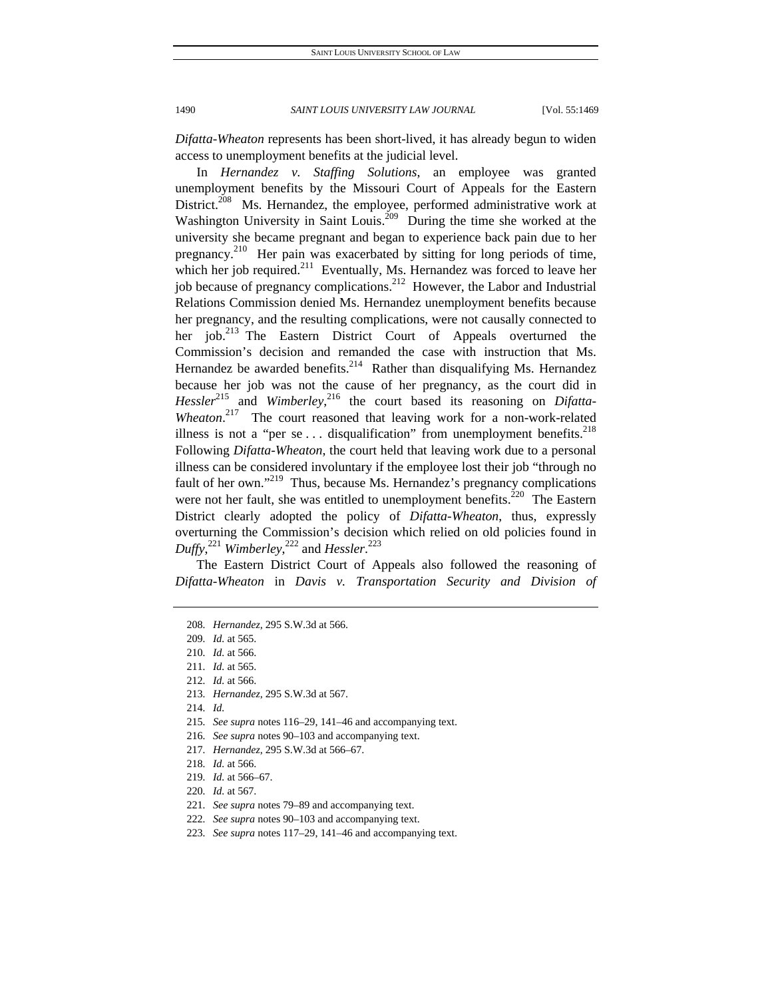*Difatta-Wheaton* represents has been short-lived, it has already begun to widen access to unemployment benefits at the judicial level.

In *Hernandez v. Staffing Solutions*, an employee was granted unemployment benefits by the Missouri Court of Appeals for the Eastern District.<sup>208</sup> Ms. Hernandez, the employee, performed administrative work at Washington University in Saint Louis.<sup>209</sup> During the time she worked at the university she became pregnant and began to experience back pain due to her pregnancy.<sup>210</sup> Her pain was exacerbated by sitting for long periods of time, which her job required.<sup>211</sup> Eventually, Ms. Hernandez was forced to leave her job because of pregnancy complications.<sup>212</sup> However, the Labor and Industrial Relations Commission denied Ms. Hernandez unemployment benefits because her pregnancy, and the resulting complications, were not causally connected to her job.<sup>213</sup> The Eastern District Court of Appeals overturned the Commission's decision and remanded the case with instruction that Ms. Hernandez be awarded benefits. $2^{14}$  Rather than disqualifying Ms. Hernandez because her job was not the cause of her pregnancy, as the court did in Hessler<sup>215</sup> and *Wimberley*<sup>216</sup>, the court based its reasoning on *Difatta-*Wheaton.<sup>217</sup> The court reasoned that leaving work for a non-work-related illness is not a "per se  $\dots$  disqualification" from unemployment benefits.<sup>218</sup> Following *Difatta-Wheaton*, the court held that leaving work due to a personal illness can be considered involuntary if the employee lost their job "through no fault of her own."<sup>219</sup> Thus, because Ms. Hernandez's pregnancy complications were not her fault, she was entitled to unemployment benefits.<sup>220</sup> The Eastern District clearly adopted the policy of *Difatta-Wheaton*, thus, expressly overturning the Commission's decision which relied on old policies found in *Duffy*, <sup>221</sup> *Wimberley*, 222 and *Hessler*. 223

The Eastern District Court of Appeals also followed the reasoning of *Difatta-Wheaton* in *Davis v. Transportation Security and Division of* 

- 221*. See supra* notes 79–89 and accompanying text.
- 222*. See supra* notes 90–103 and accompanying text.
- 223*. See supra* notes 117–29, 141–46 and accompanying text.

<sup>208</sup>*. Hernandez*, 295 S.W.3d at 566.

<sup>209</sup>*. Id.* at 565.

<sup>210</sup>*. Id.* at 566.

<sup>211</sup>*. Id.* at 565.

<sup>212</sup>*. Id.* at 566.

<sup>213</sup>*. Hernandez*, 295 S.W.3d at 567.

<sup>214</sup>*. Id.*

<sup>215</sup>*. See supra* notes 116–29, 141–46 and accompanying text.

<sup>216</sup>*. See supra* notes 90–103 and accompanying text.

<sup>217</sup>*. Hernandez*, 295 S.W.3d at 566–67.

<sup>218</sup>*. Id.* at 566.

<sup>219</sup>*. Id.* at 566–67.

<sup>220</sup>*. Id.* at 567.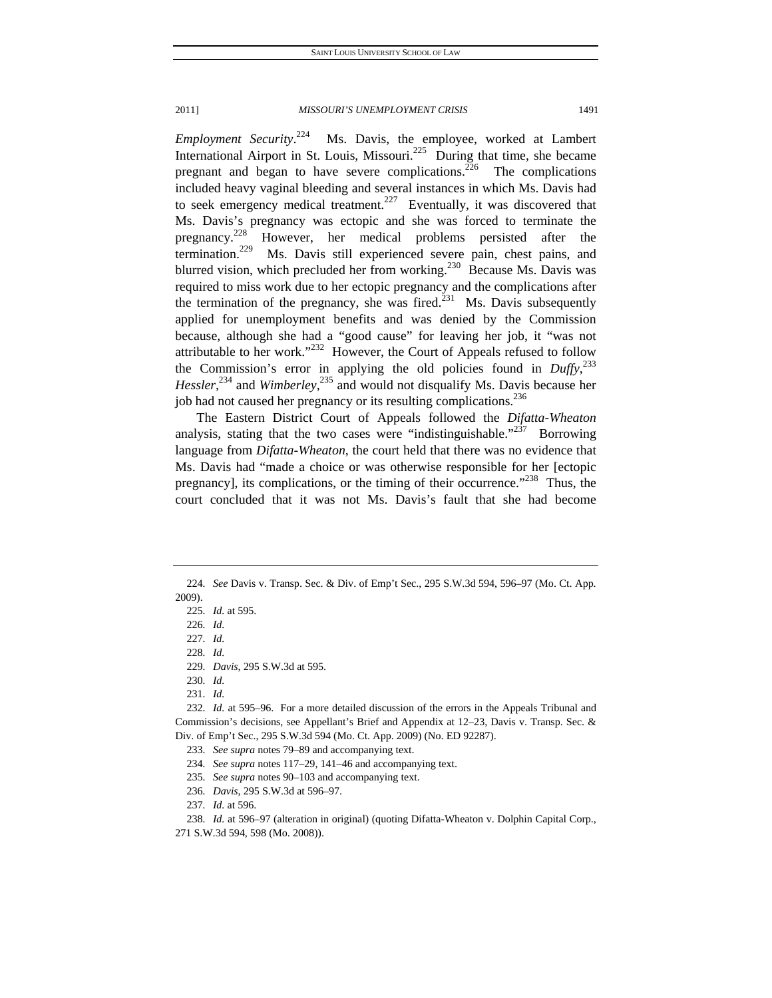*Employment Security*. Ms. Davis, the employee, worked at Lambert International Airport in St. Louis, Missouri.<sup>225</sup> During that time, she became pregnant and began to have severe complications.<sup>226</sup> The complications included heavy vaginal bleeding and several instances in which Ms. Davis had to seek emergency medical treatment.<sup>227</sup> Eventually, it was discovered that Ms. Davis's pregnancy was ectopic and she was forced to terminate the pregnancy.<sup>228</sup> However, her medical problems persisted after the termination.<sup>229</sup> Ms. Davis still experienced severe pain, chest pains, and blurred vision, which precluded her from working.<sup>230</sup> Because Ms. Davis was required to miss work due to her ectopic pregnancy and the complications after the termination of the pregnancy, she was fired.<sup>231</sup> Ms. Davis subsequently applied for unemployment benefits and was denied by the Commission because, although she had a "good cause" for leaving her job, it "was not attributable to her work."<sup>232</sup> However, the Court of Appeals refused to follow the Commission's error in applying the old policies found in  $Duffy$ ,  $233$ Hessler,<sup>234</sup> and *Wimberley*,<sup>235</sup> and would not disqualify Ms. Davis because her job had not caused her pregnancy or its resulting complications.<sup>236</sup>

The Eastern District Court of Appeals followed the *Difatta-Wheaton* analysis, stating that the two cases were "indistinguishable."<sup>237</sup> Borrowing language from *Difatta-Wheaton*, the court held that there was no evidence that Ms. Davis had "made a choice or was otherwise responsible for her [ectopic pregnancy], its complications, or the timing of their occurrence."<sup>238</sup> Thus, the court concluded that it was not Ms. Davis's fault that she had become

227*. Id.*

228*. Id.*

230*. Id.*

231*. Id.*

232*. Id.* at 595–96. For a more detailed discussion of the errors in the Appeals Tribunal and Commission's decisions, see Appellant's Brief and Appendix at 12–23, Davis v. Transp. Sec. & Div. of Emp't Sec., 295 S.W.3d 594 (Mo. Ct. App. 2009) (No. ED 92287).

233*. See supra* notes 79–89 and accompanying text.

234*. See supra* notes 117–29, 141–46 and accompanying text.

235*. See supra* notes 90–103 and accompanying text.

236*. Davis*, 295 S.W.3d at 596–97.

237*. Id.* at 596.

238*. Id.* at 596–97 (alteration in original) (quoting Difatta-Wheaton v. Dolphin Capital Corp., 271 S.W.3d 594, 598 (Mo. 2008)).

<sup>224</sup>*. See* Davis v. Transp. Sec. & Div. of Emp't Sec., 295 S.W.3d 594, 596–97 (Mo. Ct. App. 2009).

<sup>225</sup>*. Id.* at 595.

<sup>226</sup>*. Id.*

<sup>229</sup>*. Davis*, 295 S.W.3d at 595.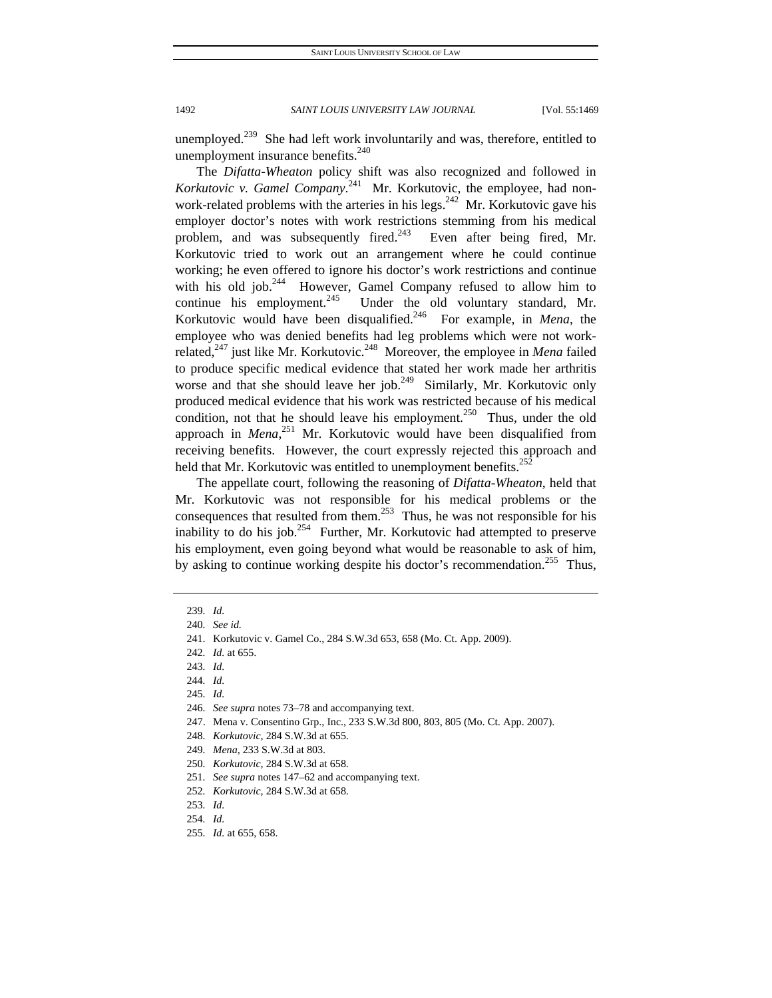unemployed.<sup>239</sup> She had left work involuntarily and was, therefore, entitled to unemployment insurance benefits.<sup>240</sup>

The *Difatta-Wheaton* policy shift was also recognized and followed in *Korkutovic v. Gamel Company*. 241 Mr. Korkutovic, the employee, had nonwork-related problems with the arteries in his legs.<sup>242</sup> Mr. Korkutovic gave his employer doctor's notes with work restrictions stemming from his medical problem, and was subsequently fired.<sup>243</sup> Even after being fired, Mr. Korkutovic tried to work out an arrangement where he could continue working; he even offered to ignore his doctor's work restrictions and continue with his old job.<sup>244</sup> However, Gamel Company refused to allow him to continue his employment.<sup>245</sup> Under the old voluntary standard, Mr. Korkutovic would have been disqualified.<sup>246</sup> For example, in *Mena*, the employee who was denied benefits had leg problems which were not workrelated,247 just like Mr. Korkutovic.248 Moreover, the employee in *Mena* failed to produce specific medical evidence that stated her work made her arthritis worse and that she should leave her job.<sup>249</sup> Similarly, Mr. Korkutovic only produced medical evidence that his work was restricted because of his medical condition, not that he should leave his employment.<sup>250</sup> Thus, under the old approach in *Mena*<sup>251</sup> Mr. Korkutovic would have been disqualified from receiving benefits. However, the court expressly rejected this approach and held that Mr. Korkutovic was entitled to unemployment benefits.<sup>252</sup>

The appellate court, following the reasoning of *Difatta-Wheaton*, held that Mr. Korkutovic was not responsible for his medical problems or the consequences that resulted from them.<sup>253</sup> Thus, he was not responsible for his inability to do his job.<sup>254</sup> Further, Mr. Korkutovic had attempted to preserve his employment, even going beyond what would be reasonable to ask of him, by asking to continue working despite his doctor's recommendation.<sup>255</sup> Thus,

247. Mena v. Consentino Grp., Inc., 233 S.W.3d 800, 803, 805 (Mo. Ct. App. 2007).

<sup>239</sup>*. Id.*

<sup>240</sup>*. See id.*

 <sup>241.</sup> Korkutovic v. Gamel Co., 284 S.W.3d 653, 658 (Mo. Ct. App. 2009).

<sup>242</sup>*. Id.* at 655.

<sup>243</sup>*. Id.*

<sup>244</sup>*. Id.*

<sup>245</sup>*. Id.*

<sup>246</sup>*. See supra* notes 73–78 and accompanying text.

<sup>248</sup>*. Korkutovic*, 284 S.W.3d at 655.

<sup>249</sup>*. Mena*, 233 S.W.3d at 803.

<sup>250</sup>*. Korkutovic*, 284 S.W.3d at 658.

<sup>251</sup>*. See supra* notes 147–62 and accompanying text.

<sup>252</sup>*. Korkutovic*, 284 S.W.3d at 658.

<sup>253</sup>*. Id.*

<sup>254</sup>*. Id.*

<sup>255</sup>*. Id.* at 655, 658.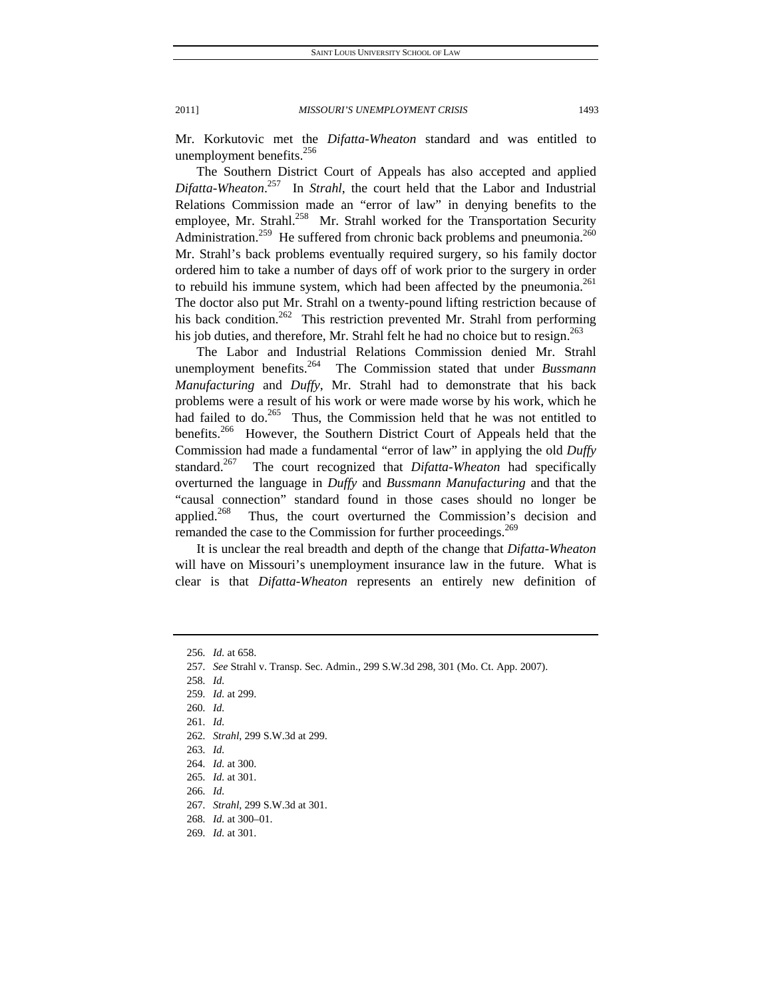Mr. Korkutovic met the *Difatta-Wheaton* standard and was entitled to unemployment benefits.<sup>256</sup>

The Southern District Court of Appeals has also accepted and applied *Difatta-Wheaton*. 257 In *Strahl*, the court held that the Labor and Industrial Relations Commission made an "error of law" in denying benefits to the employee, Mr. Strahl.<sup>258</sup> Mr. Strahl worked for the Transportation Security Administration.<sup>259</sup> He suffered from chronic back problems and pneumonia.<sup>260</sup> Mr. Strahl's back problems eventually required surgery, so his family doctor ordered him to take a number of days off of work prior to the surgery in order to rebuild his immune system, which had been affected by the pneumonia.<sup>261</sup> The doctor also put Mr. Strahl on a twenty-pound lifting restriction because of his back condition.<sup>262</sup> This restriction prevented Mr. Strahl from performing his job duties, and therefore, Mr. Strahl felt he had no choice but to resign.<sup>263</sup>

The Labor and Industrial Relations Commission denied Mr. Strahl unemployment benefits.264 The Commission stated that under *Bussmann Manufacturing* and *Duffy*, Mr. Strahl had to demonstrate that his back problems were a result of his work or were made worse by his work, which he had failed to do. $265$  Thus, the Commission held that he was not entitled to benefits.<sup>266</sup> However, the Southern District Court of Appeals held that the Commission had made a fundamental "error of law" in applying the old *Duffy* standard.267 The court recognized that *Difatta-Wheaton* had specifically overturned the language in *Duffy* and *Bussmann Manufacturing* and that the "causal connection" standard found in those cases should no longer be applied.<sup>268</sup> Thus, the court overturned the Commission's decision and remanded the case to the Commission for further proceedings.<sup>269</sup>

It is unclear the real breadth and depth of the change that *Difatta-Wheaton*  will have on Missouri's unemployment insurance law in the future. What is clear is that *Difatta-Wheaton* represents an entirely new definition of

258*. Id.*

<sup>256</sup>*. Id.* at 658.

<sup>257</sup>*. See* Strahl v. Transp. Sec. Admin., 299 S.W.3d 298, 301 (Mo. Ct. App. 2007).

<sup>259</sup>*. Id.* at 299.

<sup>260</sup>*. Id.*

<sup>261</sup>*. Id.*

<sup>262</sup>*. Strahl*, 299 S.W.3d at 299.

<sup>263</sup>*. Id.*

<sup>264</sup>*. Id.* at 300.

<sup>265</sup>*. Id.* at 301.

<sup>266</sup>*. Id.*

<sup>267</sup>*. Strahl*, 299 S.W.3d at 301.

<sup>268</sup>*. Id.* at 300–01.

<sup>269</sup>*. Id.* at 301.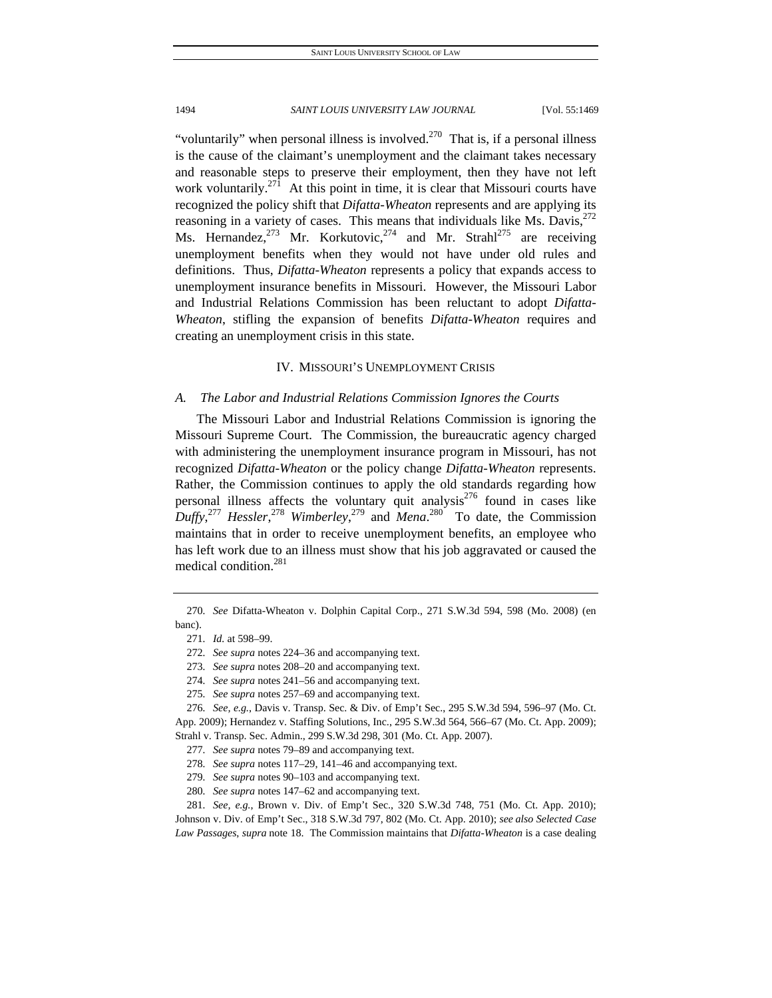"voluntarily" when personal illness is involved.<sup>270</sup> That is, if a personal illness is the cause of the claimant's unemployment and the claimant takes necessary and reasonable steps to preserve their employment, then they have not left work voluntarily. $271$  At this point in time, it is clear that Missouri courts have recognized the policy shift that *Difatta-Wheaton* represents and are applying its reasoning in a variety of cases. This means that individuals like Ms. Davis,  $272$ Ms. Hernandez, <sup>273</sup> Mr. Korkutovic, <sup>274</sup> and Mr. Strahl<sup>275</sup> are receiving unemployment benefits when they would not have under old rules and definitions. Thus, *Difatta-Wheaton* represents a policy that expands access to unemployment insurance benefits in Missouri. However, the Missouri Labor and Industrial Relations Commission has been reluctant to adopt *Difatta-Wheaton*, stifling the expansion of benefits *Difatta-Wheaton* requires and creating an unemployment crisis in this state.

## IV. MISSOURI'S UNEMPLOYMENT CRISIS

#### *A. The Labor and Industrial Relations Commission Ignores the Courts*

The Missouri Labor and Industrial Relations Commission is ignoring the Missouri Supreme Court. The Commission, the bureaucratic agency charged with administering the unemployment insurance program in Missouri, has not recognized *Difatta-Wheaton* or the policy change *Difatta-Wheaton* represents. Rather, the Commission continues to apply the old standards regarding how personal illness affects the voluntary quit analysis<sup>276</sup> found in cases like  $Duffy$ <sup>277</sup> *Hessler*,<sup>278</sup> *Wimberley*,<sup>279</sup> and *Mena*.<sup>280</sup> To date, the Commission maintains that in order to receive unemployment benefits, an employee who has left work due to an illness must show that his job aggravated or caused the medical condition.281

<sup>270</sup>*. See* Difatta-Wheaton v. Dolphin Capital Corp., 271 S.W.3d 594, 598 (Mo. 2008) (en banc).

<sup>271</sup>*. Id.* at 598–99.

<sup>272</sup>*. See supra* notes 224–36 and accompanying text.

<sup>273</sup>*. See supra* notes 208–20 and accompanying text.

<sup>274</sup>*. See supra* notes 241–56 and accompanying text.

<sup>275</sup>*. See supra* notes 257–69 and accompanying text.

<sup>276</sup>*. See, e.g.*, Davis v. Transp. Sec. & Div. of Emp't Sec., 295 S.W.3d 594, 596–97 (Mo. Ct. App. 2009); Hernandez v. Staffing Solutions, Inc., 295 S.W.3d 564, 566–67 (Mo. Ct. App. 2009); Strahl v. Transp. Sec. Admin., 299 S.W.3d 298, 301 (Mo. Ct. App. 2007).

<sup>277</sup>*. See supra* notes 79–89 and accompanying text.

<sup>278</sup>*. See supra* notes 117–29, 141–46 and accompanying text.

<sup>279</sup>*. See supra* notes 90–103 and accompanying text.

<sup>280</sup>*. See supra* notes 147–62 and accompanying text.

<sup>281</sup>*. See, e.g.*, Brown v. Div. of Emp't Sec., 320 S.W.3d 748, 751 (Mo. Ct. App. 2010); Johnson v. Div. of Emp't Sec., 318 S.W.3d 797, 802 (Mo. Ct. App. 2010); *see also Selected Case Law Passages*, *supra* note 18. The Commission maintains that *Difatta-Wheaton* is a case dealing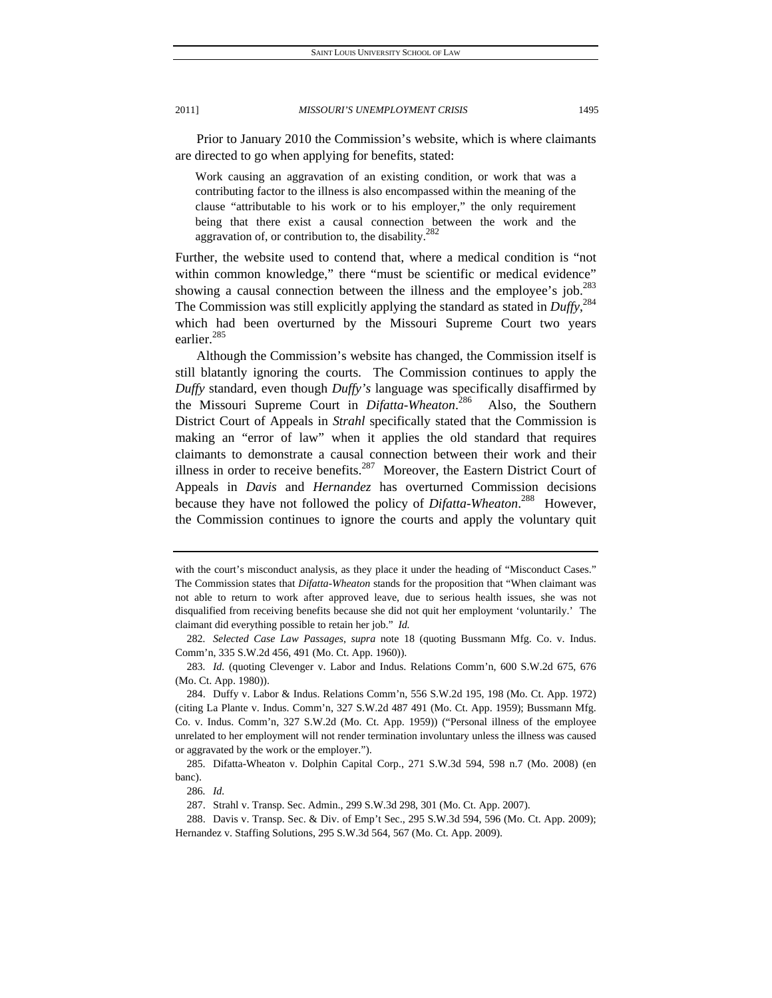Prior to January 2010 the Commission's website, which is where claimants are directed to go when applying for benefits, stated:

Work causing an aggravation of an existing condition, or work that was a contributing factor to the illness is also encompassed within the meaning of the clause "attributable to his work or to his employer," the only requirement being that there exist a causal connection between the work and the aggravation of, or contribution to, the disability. $282$ 

Further, the website used to contend that, where a medical condition is "not within common knowledge," there "must be scientific or medical evidence" showing a causal connection between the illness and the employee's job.<sup>283</sup> The Commission was still explicitly applying the standard as stated in *Duffy*, 284 which had been overturned by the Missouri Supreme Court two years earlier.<sup>285</sup>

Although the Commission's website has changed, the Commission itself is still blatantly ignoring the courts. The Commission continues to apply the *Duffy* standard, even though *Duffy's* language was specifically disaffirmed by the Missouri Supreme Court in *Difatta-Wheaton*. 286 Also, the Southern District Court of Appeals in *Strahl* specifically stated that the Commission is making an "error of law" when it applies the old standard that requires claimants to demonstrate a causal connection between their work and their illness in order to receive benefits.<sup>287</sup> Moreover, the Eastern District Court of Appeals in *Davis* and *Hernandez* has overturned Commission decisions because they have not followed the policy of *Difatta-Wheaton*. 288 However, the Commission continues to ignore the courts and apply the voluntary quit

with the court's misconduct analysis, as they place it under the heading of "Misconduct Cases." The Commission states that *Difatta-Wheaton* stands for the proposition that "When claimant was not able to return to work after approved leave, due to serious health issues, she was not disqualified from receiving benefits because she did not quit her employment 'voluntarily.' The claimant did everything possible to retain her job." *Id.* 

<sup>282</sup>*. Selected Case Law Passages*, *supra* note 18 (quoting Bussmann Mfg. Co. v. Indus. Comm'n, 335 S.W.2d 456, 491 (Mo. Ct. App. 1960)).

<sup>283</sup>*. Id.* (quoting Clevenger v. Labor and Indus. Relations Comm'n, 600 S.W.2d 675, 676 (Mo. Ct. App. 1980)).

 <sup>284.</sup> Duffy v. Labor & Indus. Relations Comm'n, 556 S.W.2d 195, 198 (Mo. Ct. App. 1972) (citing La Plante v. Indus. Comm'n, 327 S.W.2d 487 491 (Mo. Ct. App. 1959); Bussmann Mfg. Co. v. Indus. Comm'n, 327 S.W.2d (Mo. Ct. App. 1959)) ("Personal illness of the employee unrelated to her employment will not render termination involuntary unless the illness was caused or aggravated by the work or the employer.").

 <sup>285.</sup> Difatta-Wheaton v. Dolphin Capital Corp., 271 S.W.3d 594, 598 n.7 (Mo. 2008) (en banc).

<sup>286</sup>*. Id.*

 <sup>287.</sup> Strahl v. Transp. Sec. Admin., 299 S.W.3d 298, 301 (Mo. Ct. App. 2007).

 <sup>288.</sup> Davis v. Transp. Sec. & Div. of Emp't Sec., 295 S.W.3d 594, 596 (Mo. Ct. App. 2009); Hernandez v. Staffing Solutions, 295 S.W.3d 564, 567 (Mo. Ct. App. 2009).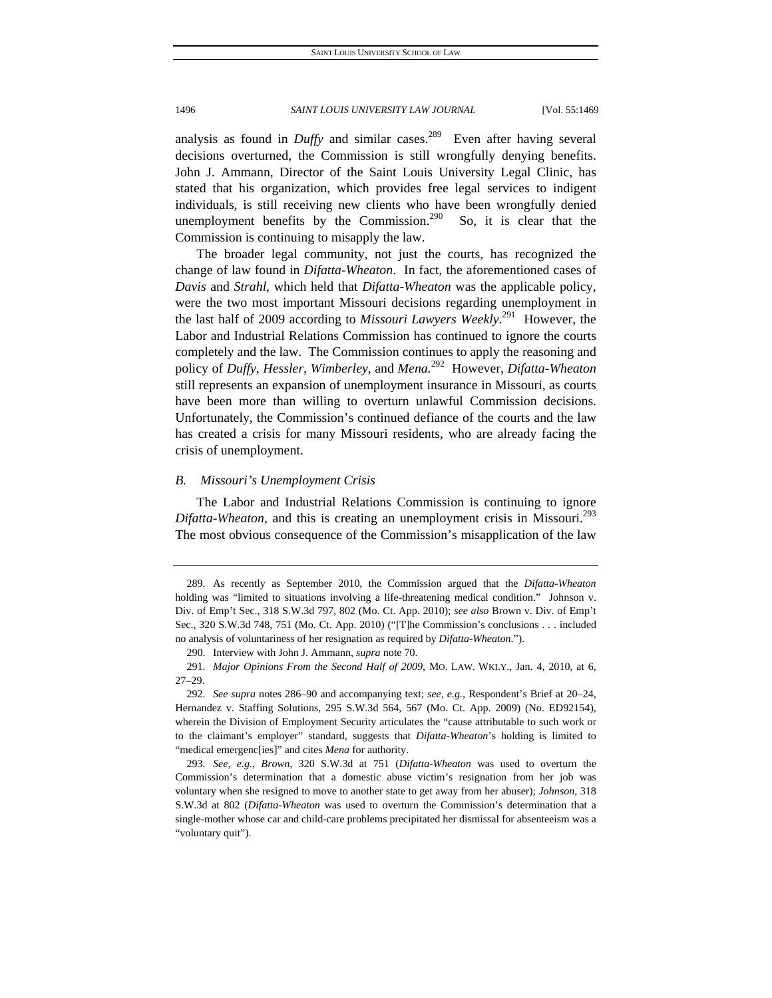analysis as found in *Duffy* and similar cases.<sup>289</sup> Even after having several decisions overturned, the Commission is still wrongfully denying benefits. John J. Ammann, Director of the Saint Louis University Legal Clinic, has stated that his organization, which provides free legal services to indigent individuals, is still receiving new clients who have been wrongfully denied unemployment benefits by the Commission.<sup>290</sup> So, it is clear that the Commission is continuing to misapply the law.

The broader legal community, not just the courts, has recognized the change of law found in *Difatta-Wheaton*. In fact, the aforementioned cases of *Davis* and *Strahl*, which held that *Difatta-Wheaton* was the applicable policy, were the two most important Missouri decisions regarding unemployment in the last half of 2009 according to *Missouri Lawyers Weekly*. 291 However, the Labor and Industrial Relations Commission has continued to ignore the courts completely and the law. The Commission continues to apply the reasoning and policy of *Duffy*, *Hessler*, *Wimberley*, and *Mena.*292 However, *Difatta-Wheaton* still represents an expansion of unemployment insurance in Missouri, as courts have been more than willing to overturn unlawful Commission decisions. Unfortunately, the Commission's continued defiance of the courts and the law has created a crisis for many Missouri residents, who are already facing the crisis of unemployment.

## *B. Missouri's Unemployment Crisis*

The Labor and Industrial Relations Commission is continuing to ignore *Difatta-Wheaton*, and this is creating an unemployment crisis in Missouri.<sup>293</sup> The most obvious consequence of the Commission's misapplication of the law

 <sup>289.</sup> As recently as September 2010, the Commission argued that the *Difatta-Wheaton*  holding was "limited to situations involving a life-threatening medical condition." Johnson v. Div. of Emp't Sec., 318 S.W.3d 797, 802 (Mo. Ct. App. 2010); *see also* Brown v. Div. of Emp't Sec., 320 S.W.3d 748, 751 (Mo. Ct. App. 2010) ("[T]he Commission's conclusions . . . included no analysis of voluntariness of her resignation as required by *Difatta-Wheaton*.").

 <sup>290.</sup> Interview with John J. Ammann, *supra* note 70.

<sup>291</sup>*. Major Opinions From the Second Half of 2009*, MO. LAW. WKLY., Jan. 4, 2010, at 6, 27–29.

<sup>292</sup>*. See supra* notes 286–90 and accompanying text; *see, e.g.*, Respondent's Brief at 20–24, Hernandez v. Staffing Solutions, 295 S.W.3d 564, 567 (Mo. Ct. App. 2009) (No. ED92154), wherein the Division of Employment Security articulates the "cause attributable to such work or to the claimant's employer" standard, suggests that *Difatta-Wheaton*'s holding is limited to "medical emergenc[ies]" and cites *Mena* for authority.

<sup>293</sup>*. See, e.g.*, *Brown*, 320 S.W.3d at 751 (*Difatta-Wheaton* was used to overturn the Commission's determination that a domestic abuse victim's resignation from her job was voluntary when she resigned to move to another state to get away from her abuser); *Johnson*, 318 S.W.3d at 802 (*Difatta-Wheaton* was used to overturn the Commission's determination that a single-mother whose car and child-care problems precipitated her dismissal for absenteeism was a "voluntary quit").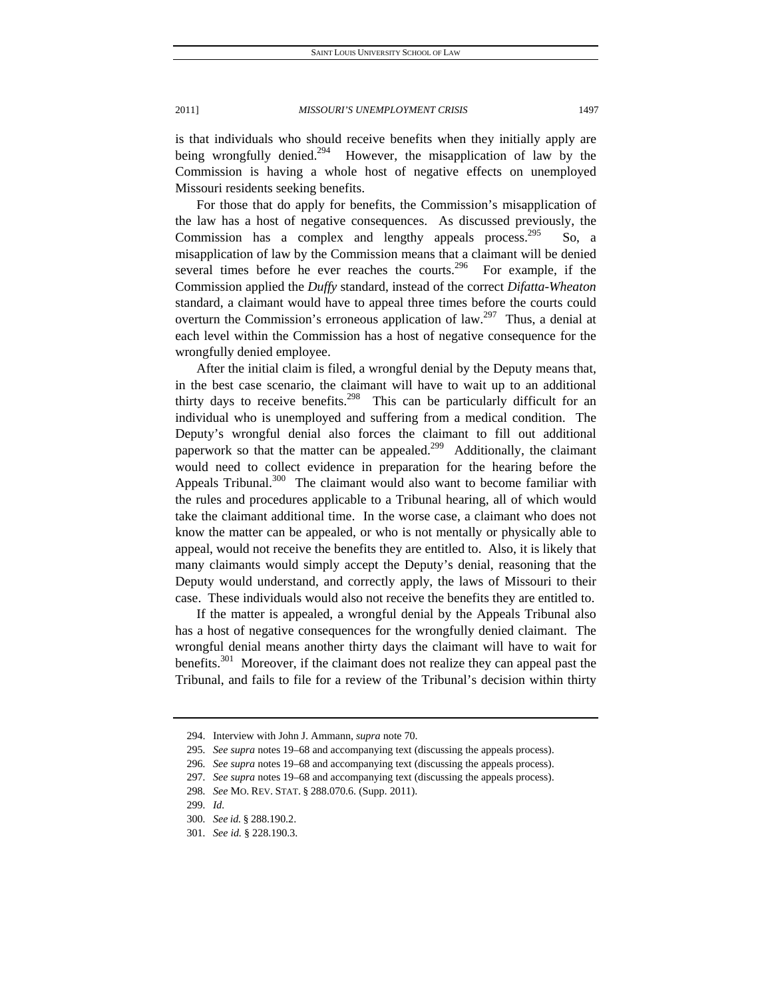is that individuals who should receive benefits when they initially apply are being wrongfully denied.<sup>294</sup> However, the misapplication of law by the Commission is having a whole host of negative effects on unemployed Missouri residents seeking benefits.

For those that do apply for benefits, the Commission's misapplication of the law has a host of negative consequences. As discussed previously, the Commission has a complex and lengthy appeals process.<sup>295</sup> So, a misapplication of law by the Commission means that a claimant will be denied several times before he ever reaches the courts.<sup>296</sup> For example, if the Commission applied the *Duffy* standard, instead of the correct *Difatta-Wheaton* standard, a claimant would have to appeal three times before the courts could overturn the Commission's erroneous application of law.<sup>297</sup> Thus, a denial at each level within the Commission has a host of negative consequence for the wrongfully denied employee.

After the initial claim is filed, a wrongful denial by the Deputy means that, in the best case scenario, the claimant will have to wait up to an additional thirty days to receive benefits.<sup>298</sup> This can be particularly difficult for an individual who is unemployed and suffering from a medical condition. The Deputy's wrongful denial also forces the claimant to fill out additional paperwork so that the matter can be appealed.<sup>299</sup> Additionally, the claimant would need to collect evidence in preparation for the hearing before the Appeals Tribunal.<sup>300</sup> The claimant would also want to become familiar with the rules and procedures applicable to a Tribunal hearing, all of which would take the claimant additional time. In the worse case, a claimant who does not know the matter can be appealed, or who is not mentally or physically able to appeal, would not receive the benefits they are entitled to. Also, it is likely that many claimants would simply accept the Deputy's denial, reasoning that the Deputy would understand, and correctly apply, the laws of Missouri to their case. These individuals would also not receive the benefits they are entitled to.

If the matter is appealed, a wrongful denial by the Appeals Tribunal also has a host of negative consequences for the wrongfully denied claimant. The wrongful denial means another thirty days the claimant will have to wait for benefits.<sup>301</sup> Moreover, if the claimant does not realize they can appeal past the Tribunal, and fails to file for a review of the Tribunal's decision within thirty

 <sup>294.</sup> Interview with John J. Ammann, *supra* note 70.

<sup>295</sup>*. See supra* notes 19–68 and accompanying text (discussing the appeals process).

<sup>296</sup>*. See supra* notes 19–68 and accompanying text (discussing the appeals process).

<sup>297</sup>*. See supra* notes 19–68 and accompanying text (discussing the appeals process).

<sup>298</sup>*. See* MO. REV. STAT. § 288.070.6. (Supp. 2011).

<sup>299</sup>*. Id.*

<sup>300</sup>*. See id.* § 288.190.2.

<sup>301</sup>*. See id.* § 228.190.3.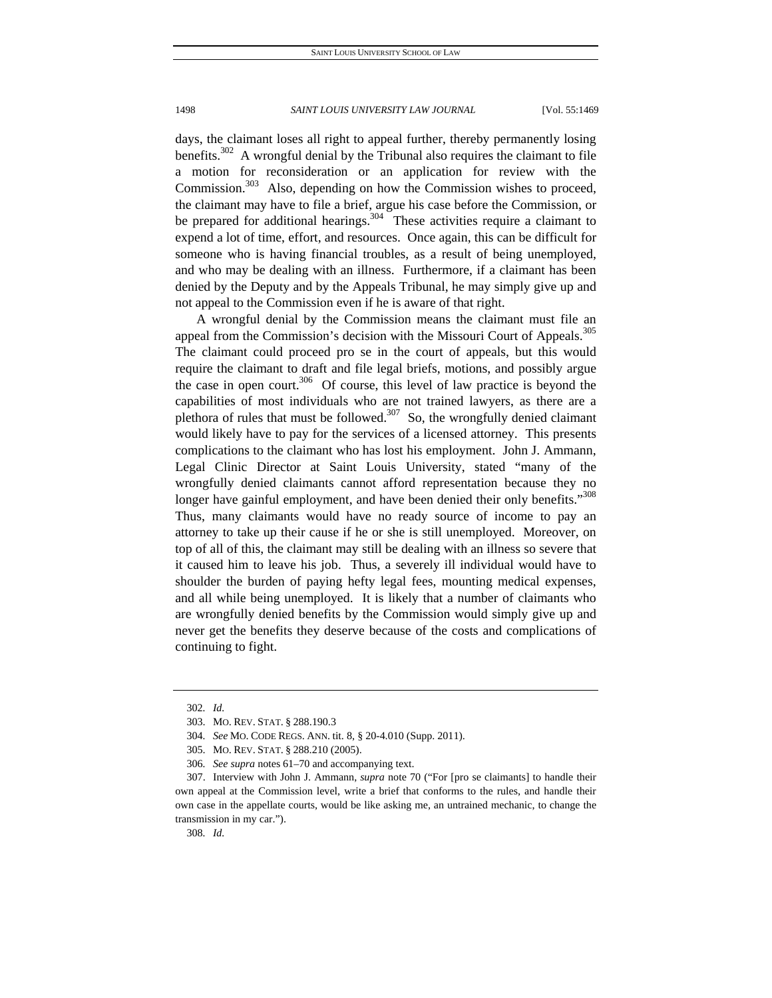days, the claimant loses all right to appeal further, thereby permanently losing benefits.<sup>302</sup> A wrongful denial by the Tribunal also requires the claimant to file a motion for reconsideration or an application for review with the Commission.<sup>303</sup> Also, depending on how the Commission wishes to proceed, the claimant may have to file a brief, argue his case before the Commission, or be prepared for additional hearings.<sup>304</sup> These activities require a claimant to expend a lot of time, effort, and resources. Once again, this can be difficult for someone who is having financial troubles, as a result of being unemployed, and who may be dealing with an illness. Furthermore, if a claimant has been denied by the Deputy and by the Appeals Tribunal, he may simply give up and not appeal to the Commission even if he is aware of that right.

A wrongful denial by the Commission means the claimant must file an appeal from the Commission's decision with the Missouri Court of Appeals.<sup>305</sup> The claimant could proceed pro se in the court of appeals, but this would require the claimant to draft and file legal briefs, motions, and possibly argue the case in open court.<sup>306</sup> Of course, this level of law practice is beyond the capabilities of most individuals who are not trained lawyers, as there are a plethora of rules that must be followed.<sup>307</sup> So, the wrongfully denied claimant would likely have to pay for the services of a licensed attorney. This presents complications to the claimant who has lost his employment. John J. Ammann, Legal Clinic Director at Saint Louis University, stated "many of the wrongfully denied claimants cannot afford representation because they no longer have gainful employment, and have been denied their only benefits."<sup>308</sup> Thus, many claimants would have no ready source of income to pay an attorney to take up their cause if he or she is still unemployed. Moreover, on top of all of this, the claimant may still be dealing with an illness so severe that it caused him to leave his job. Thus, a severely ill individual would have to shoulder the burden of paying hefty legal fees, mounting medical expenses, and all while being unemployed. It is likely that a number of claimants who are wrongfully denied benefits by the Commission would simply give up and never get the benefits they deserve because of the costs and complications of continuing to fight.

<sup>302</sup>*. Id.*

 <sup>303.</sup> MO. REV. STAT. § 288.190.3

<sup>304</sup>*. See* MO. CODE REGS. ANN. tit. 8, § 20-4.010 (Supp. 2011).

 <sup>305.</sup> MO. REV. STAT. § 288.210 (2005).

<sup>306</sup>*. See supra* notes 61–70 and accompanying text.

 <sup>307.</sup> Interview with John J. Ammann, *supra* note 70 ("For [pro se claimants] to handle their own appeal at the Commission level, write a brief that conforms to the rules, and handle their own case in the appellate courts, would be like asking me, an untrained mechanic, to change the transmission in my car.").

<sup>308</sup>*. Id.*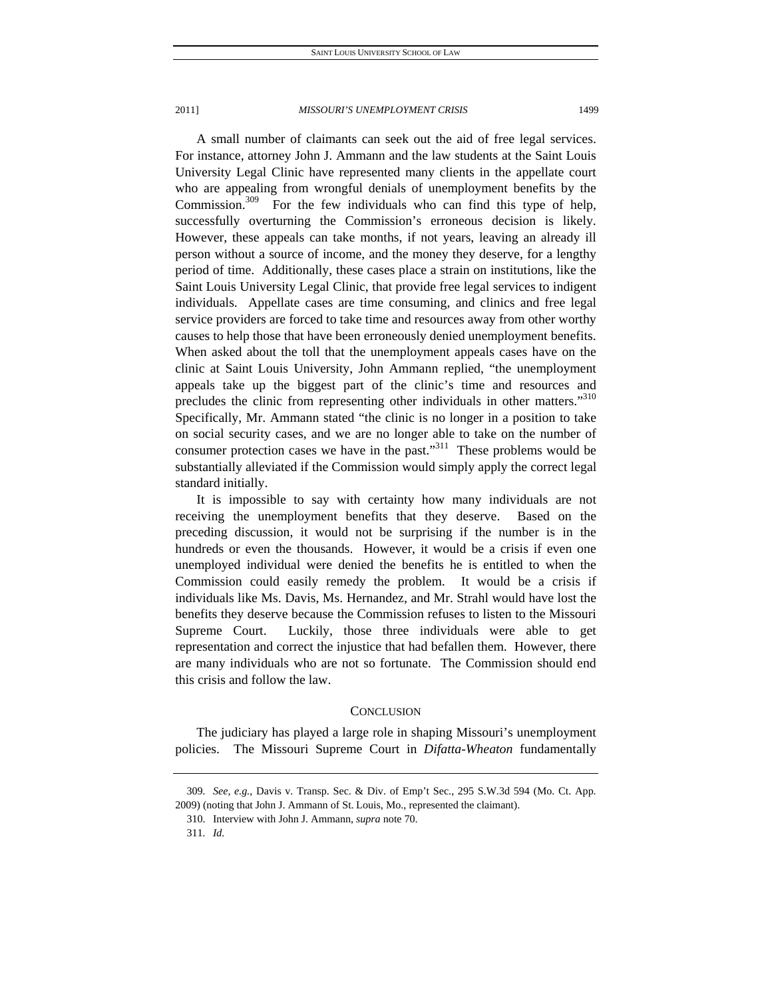A small number of claimants can seek out the aid of free legal services. For instance, attorney John J. Ammann and the law students at the Saint Louis University Legal Clinic have represented many clients in the appellate court who are appealing from wrongful denials of unemployment benefits by the Commission.<sup>309</sup> For the few individuals who can find this type of help, successfully overturning the Commission's erroneous decision is likely. However, these appeals can take months, if not years, leaving an already ill person without a source of income, and the money they deserve, for a lengthy period of time. Additionally, these cases place a strain on institutions, like the Saint Louis University Legal Clinic, that provide free legal services to indigent individuals. Appellate cases are time consuming, and clinics and free legal service providers are forced to take time and resources away from other worthy causes to help those that have been erroneously denied unemployment benefits. When asked about the toll that the unemployment appeals cases have on the clinic at Saint Louis University, John Ammann replied, "the unemployment appeals take up the biggest part of the clinic's time and resources and precludes the clinic from representing other individuals in other matters."<sup>310</sup> Specifically, Mr. Ammann stated "the clinic is no longer in a position to take on social security cases, and we are no longer able to take on the number of consumer protection cases we have in the past."<sup>311</sup> These problems would be substantially alleviated if the Commission would simply apply the correct legal standard initially.

It is impossible to say with certainty how many individuals are not receiving the unemployment benefits that they deserve. Based on the preceding discussion, it would not be surprising if the number is in the hundreds or even the thousands. However, it would be a crisis if even one unemployed individual were denied the benefits he is entitled to when the Commission could easily remedy the problem. It would be a crisis if individuals like Ms. Davis, Ms. Hernandez, and Mr. Strahl would have lost the benefits they deserve because the Commission refuses to listen to the Missouri Supreme Court. Luckily, those three individuals were able to get representation and correct the injustice that had befallen them. However, there are many individuals who are not so fortunate. The Commission should end this crisis and follow the law.

#### **CONCLUSION**

The judiciary has played a large role in shaping Missouri's unemployment policies. The Missouri Supreme Court in *Difatta-Wheaton* fundamentally

<sup>309</sup>*. See, e.g.*, Davis v. Transp. Sec. & Div. of Emp't Sec., 295 S.W.3d 594 (Mo. Ct. App. 2009) (noting that John J. Ammann of St. Louis, Mo., represented the claimant).

 <sup>310.</sup> Interview with John J. Ammann, *supra* note 70.

<sup>311</sup>*. Id.*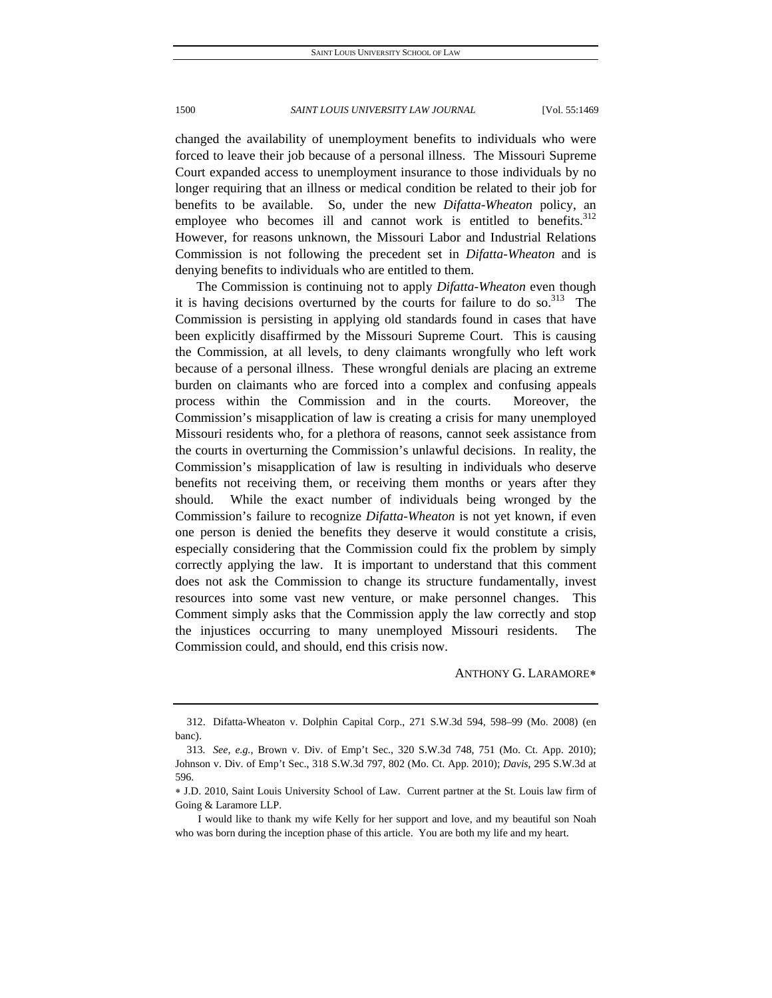changed the availability of unemployment benefits to individuals who were forced to leave their job because of a personal illness. The Missouri Supreme Court expanded access to unemployment insurance to those individuals by no longer requiring that an illness or medical condition be related to their job for benefits to be available. So, under the new *Difatta-Wheaton* policy, an employee who becomes ill and cannot work is entitled to benefits.<sup>312</sup> However, for reasons unknown, the Missouri Labor and Industrial Relations Commission is not following the precedent set in *Difatta-Wheaton* and is denying benefits to individuals who are entitled to them.

The Commission is continuing not to apply *Difatta-Wheaton* even though it is having decisions overturned by the courts for failure to do so. $313$  The Commission is persisting in applying old standards found in cases that have been explicitly disaffirmed by the Missouri Supreme Court. This is causing the Commission, at all levels, to deny claimants wrongfully who left work because of a personal illness. These wrongful denials are placing an extreme burden on claimants who are forced into a complex and confusing appeals process within the Commission and in the courts. Moreover, the Commission's misapplication of law is creating a crisis for many unemployed Missouri residents who, for a plethora of reasons, cannot seek assistance from the courts in overturning the Commission's unlawful decisions. In reality, the Commission's misapplication of law is resulting in individuals who deserve benefits not receiving them, or receiving them months or years after they should. While the exact number of individuals being wronged by the Commission's failure to recognize *Difatta-Wheaton* is not yet known, if even one person is denied the benefits they deserve it would constitute a crisis, especially considering that the Commission could fix the problem by simply correctly applying the law. It is important to understand that this comment does not ask the Commission to change its structure fundamentally, invest resources into some vast new venture, or make personnel changes. This Comment simply asks that the Commission apply the law correctly and stop the injustices occurring to many unemployed Missouri residents. The Commission could, and should, end this crisis now.

ANTHONY G. LARAMORE

 <sup>312.</sup> Difatta-Wheaton v. Dolphin Capital Corp., 271 S.W.3d 594, 598–99 (Mo. 2008) (en banc).

<sup>313</sup>*. See, e.g.*, Brown v. Div. of Emp't Sec., 320 S.W.3d 748, 751 (Mo. Ct. App. 2010); Johnson v. Div. of Emp't Sec., 318 S.W.3d 797, 802 (Mo. Ct. App. 2010); *Davis*, 295 S.W.3d at 596.

J.D. 2010, Saint Louis University School of Law. Current partner at the St. Louis law firm of Going & Laramore LLP.

I would like to thank my wife Kelly for her support and love, and my beautiful son Noah who was born during the inception phase of this article. You are both my life and my heart.